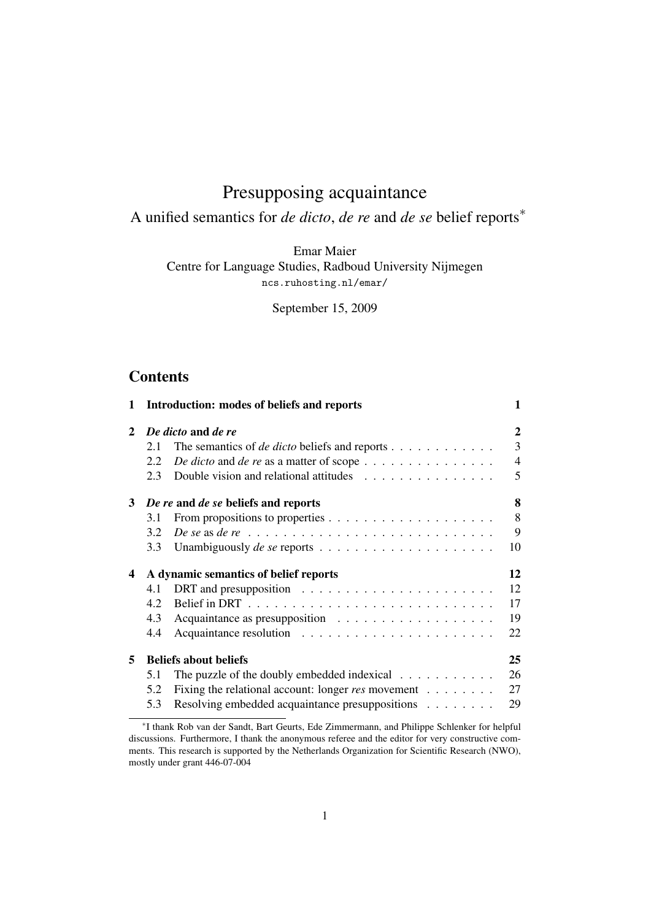# Presupposing acquaintance

A unified semantics for *de dicto*, *de re* and *de se* belief reports<sup>∗</sup>

Emar Maier Centre for Language Studies, Radboud University Nijmegen ncs.ruhosting.nl/emar/

September 15, 2009

# **Contents**

| 1              | Introduction: modes of beliefs and reports                                                    |  | 1              |
|----------------|-----------------------------------------------------------------------------------------------|--|----------------|
| 2              | De dicto and de re                                                                            |  | $\mathbf{2}$   |
|                | 2.1                                                                                           |  | 3              |
|                | De dicto and de re as a matter of scope<br>2.2                                                |  | $\overline{4}$ |
|                | Double vision and relational attitudes<br>2.3                                                 |  | 5              |
| 3 <sup>1</sup> | De re and de se beliefs and reports                                                           |  | 8              |
|                | 3.1                                                                                           |  | 8              |
|                | De se as de re $\ldots \ldots \ldots \ldots \ldots \ldots \ldots \ldots \ldots \ldots$<br>3.2 |  | 9              |
|                | Unambiguously <i>de se</i> reports $\ldots \ldots \ldots \ldots \ldots \ldots$<br>3.3         |  | 10             |
| 4              | A dynamic semantics of belief reports                                                         |  | 12             |
|                | 4.1                                                                                           |  | 12             |
|                | 4.2                                                                                           |  | 17             |
|                | 4.3                                                                                           |  | 19             |
|                | 4.4                                                                                           |  | 22             |
| 5              | <b>Beliefs about beliefs</b>                                                                  |  | 25             |
|                | The puzzle of the doubly embedded indexical $\dots \dots \dots$<br>5.1                        |  | 26             |
|                | Fixing the relational account: longer res movement<br>5.2                                     |  | 27             |
|                | Resolving embedded acquaintance presuppositions<br>5.3                                        |  | 29             |

<sup>∗</sup> I thank Rob van der Sandt, Bart Geurts, Ede Zimmermann, and Philippe Schlenker for helpful discussions. Furthermore, I thank the anonymous referee and the editor for very constructive comments. This research is supported by the Netherlands Organization for Scientific Research (NWO), mostly under grant 446-07-004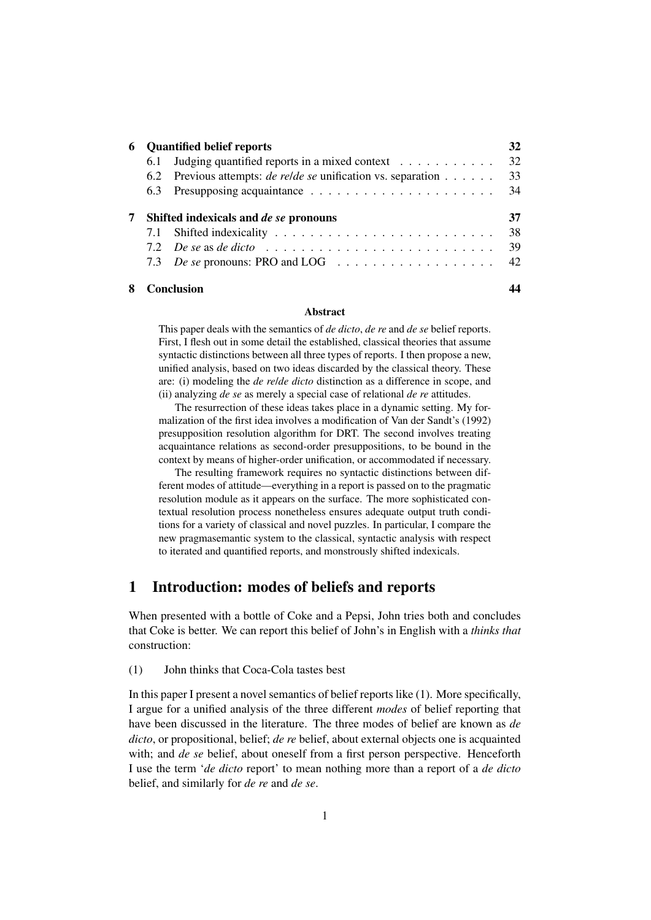| 6 |     | <b>Quantified belief reports</b>                                            | 32. |
|---|-----|-----------------------------------------------------------------------------|-----|
|   | 6.1 | Judging quantified reports in a mixed context                               | 32  |
|   |     | 6.2 Previous attempts: <i>de relde se</i> unification vs. separation        | 33  |
|   |     |                                                                             | 34  |
|   |     |                                                                             |     |
|   |     | Shifted indexicals and de se pronouns                                       | 37  |
|   |     |                                                                             | 38  |
|   |     |                                                                             | 39  |
|   |     | 7.3 De se pronouns: PRO and LOG $\ldots \ldots \ldots \ldots \ldots \ldots$ | 42  |

#### 8 Conclusion 44

#### **Abstract**

This paper deals with the semantics of *de dicto*, *de re* and *de se* belief reports. First, I flesh out in some detail the established, classical theories that assume syntactic distinctions between all three types of reports. I then propose a new, unified analysis, based on two ideas discarded by the classical theory. These are: (i) modeling the *de re*/*de dicto* distinction as a difference in scope, and (ii) analyzing *de se* as merely a special case of relational *de re* attitudes.

The resurrection of these ideas takes place in a dynamic setting. My formalization of the first idea involves a modification of Van der Sandt's (1992) presupposition resolution algorithm for DRT. The second involves treating acquaintance relations as second-order presuppositions, to be bound in the context by means of higher-order unification, or accommodated if necessary.

The resulting framework requires no syntactic distinctions between different modes of attitude—everything in a report is passed on to the pragmatic resolution module as it appears on the surface. The more sophisticated contextual resolution process nonetheless ensures adequate output truth conditions for a variety of classical and novel puzzles. In particular, I compare the new pragmasemantic system to the classical, syntactic analysis with respect to iterated and quantified reports, and monstrously shifted indexicals.

# 1 Introduction: modes of beliefs and reports

When presented with a bottle of Coke and a Pepsi, John tries both and concludes that Coke is better. We can report this belief of John's in English with a *thinks that* construction:

(1) John thinks that Coca-Cola tastes best

In this paper I present a novel semantics of belief reports like (1). More specifically, I argue for a unified analysis of the three different *modes* of belief reporting that have been discussed in the literature. The three modes of belief are known as *de dicto*, or propositional, belief; *de re* belief, about external objects one is acquainted with; and *de se* belief, about oneself from a first person perspective. Henceforth I use the term '*de dicto* report' to mean nothing more than a report of a *de dicto* belief, and similarly for *de re* and *de se*.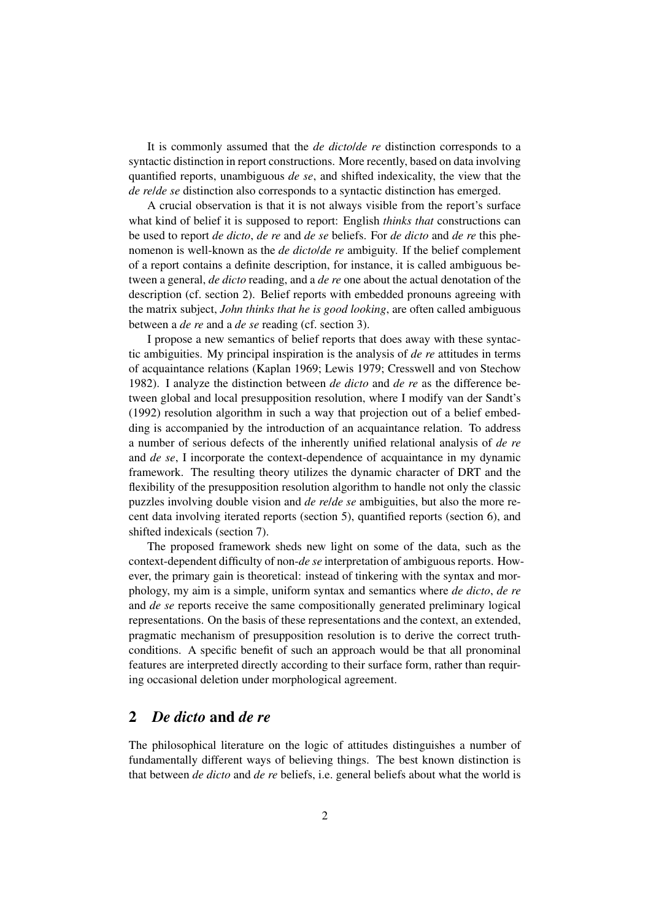It is commonly assumed that the *de dicto*/*de re* distinction corresponds to a syntactic distinction in report constructions. More recently, based on data involving quantified reports, unambiguous *de se*, and shifted indexicality, the view that the *de re*/*de se* distinction also corresponds to a syntactic distinction has emerged.

A crucial observation is that it is not always visible from the report's surface what kind of belief it is supposed to report: English *thinks that* constructions can be used to report *de dicto*, *de re* and *de se* beliefs. For *de dicto* and *de re* this phenomenon is well-known as the *de dicto*/*de re* ambiguity. If the belief complement of a report contains a definite description, for instance, it is called ambiguous between a general, *de dicto* reading, and a *de re* one about the actual denotation of the description (cf. section 2). Belief reports with embedded pronouns agreeing with the matrix subject, *John thinks that he is good looking*, are often called ambiguous between a *de re* and a *de se* reading (cf. section 3).

I propose a new semantics of belief reports that does away with these syntactic ambiguities. My principal inspiration is the analysis of *de re* attitudes in terms of acquaintance relations (Kaplan 1969; Lewis 1979; Cresswell and von Stechow 1982). I analyze the distinction between *de dicto* and *de re* as the difference between global and local presupposition resolution, where I modify van der Sandt's (1992) resolution algorithm in such a way that projection out of a belief embedding is accompanied by the introduction of an acquaintance relation. To address a number of serious defects of the inherently unified relational analysis of *de re* and *de se*, I incorporate the context-dependence of acquaintance in my dynamic framework. The resulting theory utilizes the dynamic character of DRT and the flexibility of the presupposition resolution algorithm to handle not only the classic puzzles involving double vision and *de re*/*de se* ambiguities, but also the more recent data involving iterated reports (section 5), quantified reports (section 6), and shifted indexicals (section 7).

The proposed framework sheds new light on some of the data, such as the context-dependent difficulty of non-*de se* interpretation of ambiguous reports. However, the primary gain is theoretical: instead of tinkering with the syntax and morphology, my aim is a simple, uniform syntax and semantics where *de dicto*, *de re* and *de se* reports receive the same compositionally generated preliminary logical representations. On the basis of these representations and the context, an extended, pragmatic mechanism of presupposition resolution is to derive the correct truthconditions. A specific benefit of such an approach would be that all pronominal features are interpreted directly according to their surface form, rather than requiring occasional deletion under morphological agreement.

# 2 *De dicto* and *de re*

The philosophical literature on the logic of attitudes distinguishes a number of fundamentally different ways of believing things. The best known distinction is that between *de dicto* and *de re* beliefs, i.e. general beliefs about what the world is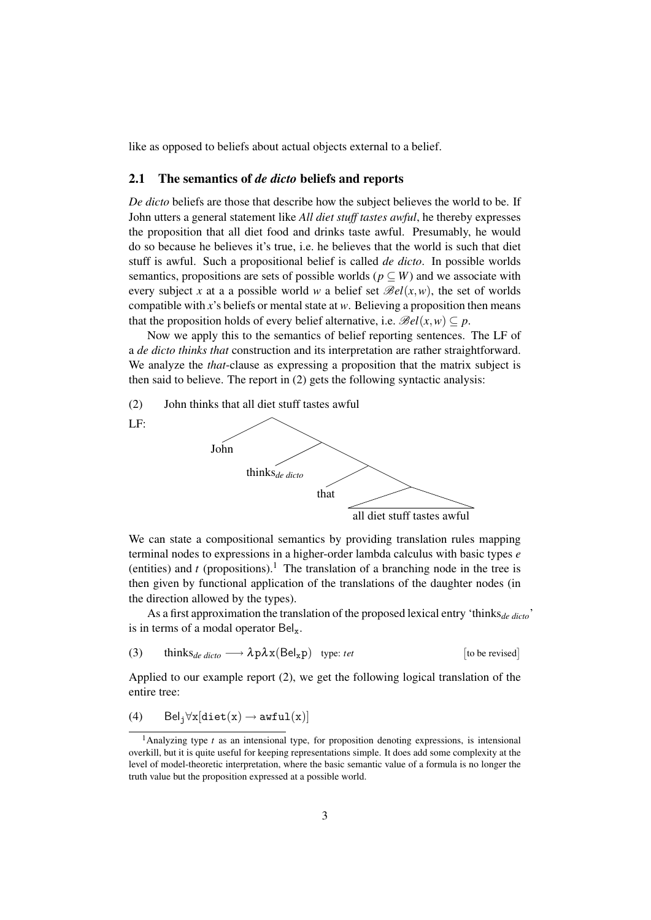like as opposed to beliefs about actual objects external to a belief.

#### 2.1 The semantics of *de dicto* beliefs and reports

*De dicto* beliefs are those that describe how the subject believes the world to be. If John utters a general statement like *All diet stuff tastes awful*, he thereby expresses the proposition that all diet food and drinks taste awful. Presumably, he would do so because he believes it's true, i.e. he believes that the world is such that diet stuff is awful. Such a propositional belief is called *de dicto*. In possible worlds semantics, propositions are sets of possible worlds ( $p \subseteq W$ ) and we associate with every subject *x* at a a possible world *w* a belief set  $\mathcal{B}el(x, w)$ , the set of worlds compatible with *x*'s beliefs or mental state at *w*. Believing a proposition then means that the proposition holds of every belief alternative, i.e.  $\mathcal{B}el(x, w) \subseteq p$ .

Now we apply this to the semantics of belief reporting sentences. The LF of a *de dicto thinks that* construction and its interpretation are rather straightforward. We analyze the *that*-clause as expressing a proposition that the matrix subject is then said to believe. The report in (2) gets the following syntactic analysis:

(2) John thinks that all diet stuff tastes awful



We can state a compositional semantics by providing translation rules mapping terminal nodes to expressions in a higher-order lambda calculus with basic types *e* (entities) and *t* (propositions).<sup>1</sup> The translation of a branching node in the tree is then given by functional application of the translations of the daughter nodes (in the direction allowed by the types).

As a first approximation the translation of the proposed lexical entry 'thinks<sub>de dicto</sub>' is in terms of a modal operator Bel<sub>x</sub>.

(3) thinks<sub>de dicto</sub>  $\longrightarrow \lambda p \lambda x (Bel_x p)$  type: *tet* to be revised

Applied to our example report (2), we get the following logical translation of the entire tree:

$$
(4) \qquad \text{Bel}_{j}\forall x[\text{dict}(x)\rightarrow \text{awful}(x)]
$$

<sup>&</sup>lt;sup>1</sup>Analyzing type *t* as an intensional type, for proposition denoting expressions, is intensional overkill, but it is quite useful for keeping representations simple. It does add some complexity at the level of model-theoretic interpretation, where the basic semantic value of a formula is no longer the truth value but the proposition expressed at a possible world.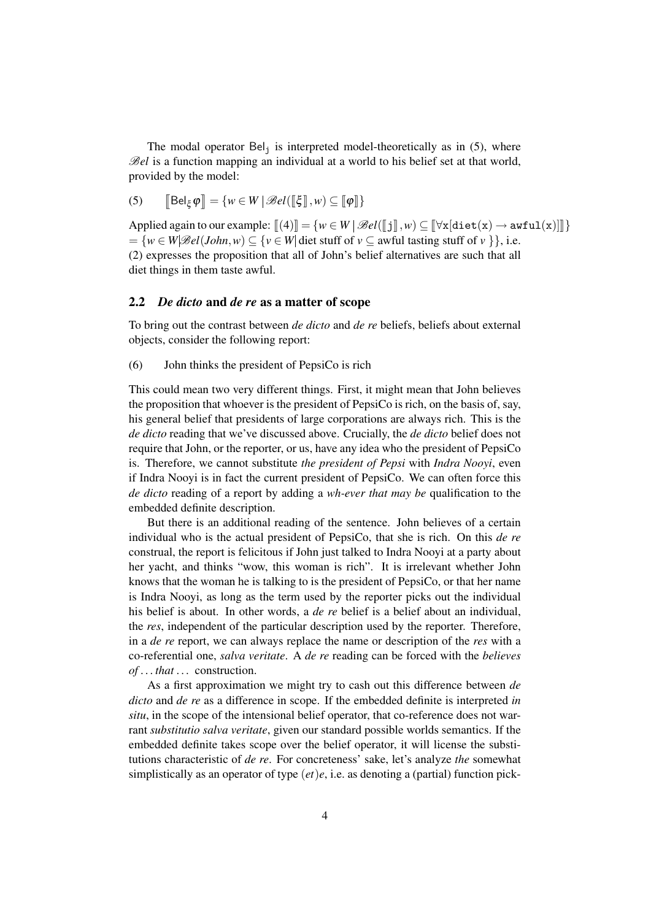The modal operator  $Bel_j$  is interpreted model-theoretically as in (5), where B*el* is a function mapping an individual at a world to his belief set at that world, provided by the model:

(5) 
$$
\llbracket \text{Bel}_{\xi} \varphi \rrbracket = \{ w \in W \, | \, \mathscr{B}el([\xi], w) \subseteq [\![\varphi]\!]\}
$$

Applied again to our example:  $\llbracket (4) \rrbracket = \{ w \in W \mid \mathcal{B}el(\llbracket j \rrbracket, w) \subseteq \llbracket \forall x[\text{dict}(x) \rightarrow \text{awful}(x)] \rrbracket \}$  $=\{w \in W | \mathcal{B}el(John, w) \subseteq \{v \in W | \text{ diet stuff of } v \subseteq \text{awful testing stuff of } v \} \},$  i.e. (2) expresses the proposition that all of John's belief alternatives are such that all diet things in them taste awful.

### 2.2 *De dicto* and *de re* as a matter of scope

To bring out the contrast between *de dicto* and *de re* beliefs, beliefs about external objects, consider the following report:

(6) John thinks the president of PepsiCo is rich

This could mean two very different things. First, it might mean that John believes the proposition that whoever is the president of PepsiCo is rich, on the basis of, say, his general belief that presidents of large corporations are always rich. This is the *de dicto* reading that we've discussed above. Crucially, the *de dicto* belief does not require that John, or the reporter, or us, have any idea who the president of PepsiCo is. Therefore, we cannot substitute *the president of Pepsi* with *Indra Nooyi*, even if Indra Nooyi is in fact the current president of PepsiCo. We can often force this *de dicto* reading of a report by adding a *wh-ever that may be* qualification to the embedded definite description.

But there is an additional reading of the sentence. John believes of a certain individual who is the actual president of PepsiCo, that she is rich. On this *de re* construal, the report is felicitous if John just talked to Indra Nooyi at a party about her yacht, and thinks "wow, this woman is rich". It is irrelevant whether John knows that the woman he is talking to is the president of PepsiCo, or that her name is Indra Nooyi, as long as the term used by the reporter picks out the individual his belief is about. In other words, a *de re* belief is a belief about an individual, the *res*, independent of the particular description used by the reporter. Therefore, in a *de re* report, we can always replace the name or description of the *res* with a co-referential one, *salva veritate*. A *de re* reading can be forced with the *believes of . . . that . . .* construction.

As a first approximation we might try to cash out this difference between *de dicto* and *de re* as a difference in scope. If the embedded definite is interpreted *in situ*, in the scope of the intensional belief operator, that co-reference does not warrant *substitutio salva veritate*, given our standard possible worlds semantics. If the embedded definite takes scope over the belief operator, it will license the substitutions characteristic of *de re*. For concreteness' sake, let's analyze *the* somewhat simplistically as an operator of type (*et*)*e*, i.e. as denoting a (partial) function pick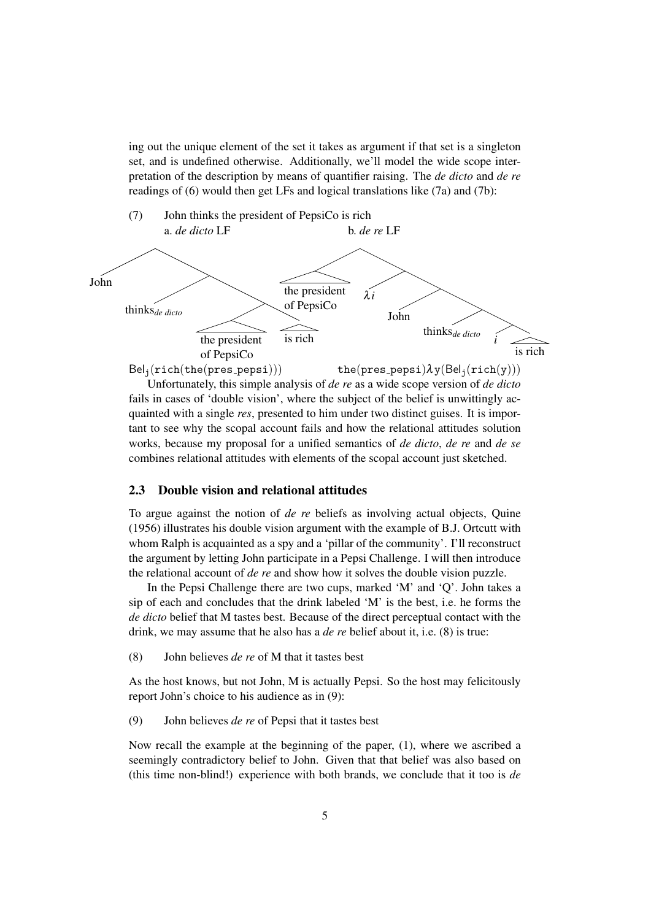ing out the unique element of the set it takes as argument if that set is a singleton set, and is undefined otherwise. Additionally, we'll model the wide scope interpretation of the description by means of quantifier raising. The *de dicto* and *de re* readings of (6) would then get LFs and logical translations like (7a) and (7b):



Unfortunately, this simple analysis of *de re* as a wide scope version of *de dicto* fails in cases of 'double vision', where the subject of the belief is unwittingly acquainted with a single *res*, presented to him under two distinct guises. It is important to see why the scopal account fails and how the relational attitudes solution works, because my proposal for a unified semantics of *de dicto*, *de re* and *de se* combines relational attitudes with elements of the scopal account just sketched.

#### 2.3 Double vision and relational attitudes

To argue against the notion of *de re* beliefs as involving actual objects, Quine (1956) illustrates his double vision argument with the example of B.J. Ortcutt with whom Ralph is acquainted as a spy and a 'pillar of the community'. I'll reconstruct the argument by letting John participate in a Pepsi Challenge. I will then introduce the relational account of *de re* and show how it solves the double vision puzzle.

In the Pepsi Challenge there are two cups, marked 'M' and 'Q'. John takes a sip of each and concludes that the drink labeled 'M' is the best, i.e. he forms the *de dicto* belief that M tastes best. Because of the direct perceptual contact with the drink, we may assume that he also has a *de re* belief about it, i.e. (8) is true:

(8) John believes *de re* of M that it tastes best

As the host knows, but not John, M is actually Pepsi. So the host may felicitously report John's choice to his audience as in (9):

(9) John believes *de re* of Pepsi that it tastes best

Now recall the example at the beginning of the paper, (1), where we ascribed a seemingly contradictory belief to John. Given that that belief was also based on (this time non-blind!) experience with both brands, we conclude that it too is *de*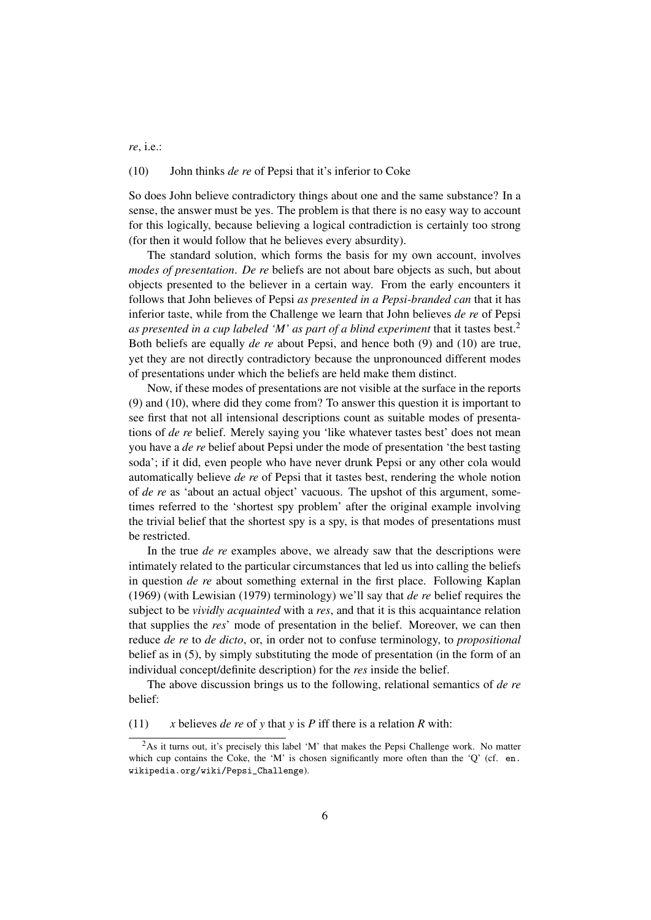*re*, i.e.:

#### (10) John thinks *de re* of Pepsi that it's inferior to Coke

So does John believe contradictory things about one and the same substance? In a sense, the answer must be yes. The problem is that there is no easy way to account for this logically, because believing a logical contradiction is certainly too strong (for then it would follow that he believes every absurdity).

The standard solution, which forms the basis for my own account, involves *modes of presentation*. *De re* beliefs are not about bare objects as such, but about objects presented to the believer in a certain way. From the early encounters it follows that John believes of Pepsi *as presented in a Pepsi-branded can* that it has inferior taste, while from the Challenge we learn that John believes *de re* of Pepsi *as presented in a cup labeled 'M' as part of a blind experiment* that it tastes best.<sup>2</sup> Both beliefs are equally *de re* about Pepsi, and hence both (9) and (10) are true, yet they are not directly contradictory because the unpronounced different modes of presentations under which the beliefs are held make them distinct.

Now, if these modes of presentations are not visible at the surface in the reports (9) and (10), where did they come from? To answer this question it is important to see first that not all intensional descriptions count as suitable modes of presentations of *de re* belief. Merely saying you 'like whatever tastes best' does not mean you have a *de re* belief about Pepsi under the mode of presentation 'the best tasting soda'; if it did, even people who have never drunk Pepsi or any other cola would automatically believe *de re* of Pepsi that it tastes best, rendering the whole notion of *de re* as 'about an actual object' vacuous. The upshot of this argument, sometimes referred to the 'shortest spy problem' after the original example involving the trivial belief that the shortest spy is a spy, is that modes of presentations must be restricted.

In the true *de re* examples above, we already saw that the descriptions were intimately related to the particular circumstances that led us into calling the beliefs in question *de re* about something external in the first place. Following Kaplan (1969) (with Lewisian (1979) terminology) we'll say that *de re* belief requires the subject to be *vividly acquainted* with a *res*, and that it is this acquaintance relation that supplies the *res*' mode of presentation in the belief. Moreover, we can then reduce *de re* to *de dicto*, or, in order not to confuse terminology, to *propositional* belief as in (5), by simply substituting the mode of presentation (in the form of an individual concept/definite description) for the *res* inside the belief.

The above discussion brings us to the following, relational semantics of *de re* belief:

(11)  $x$  believes *de re* of *y* that *y* is *P* iff there is a relation *R* with:

<sup>&</sup>lt;sup>2</sup>As it turns out, it's precisely this label 'M' that makes the Pepsi Challenge work. No matter which cup contains the Coke, the 'M' is chosen significantly more often than the 'Q' (cf. en. wikipedia.org/wiki/Pepsi\_Challenge).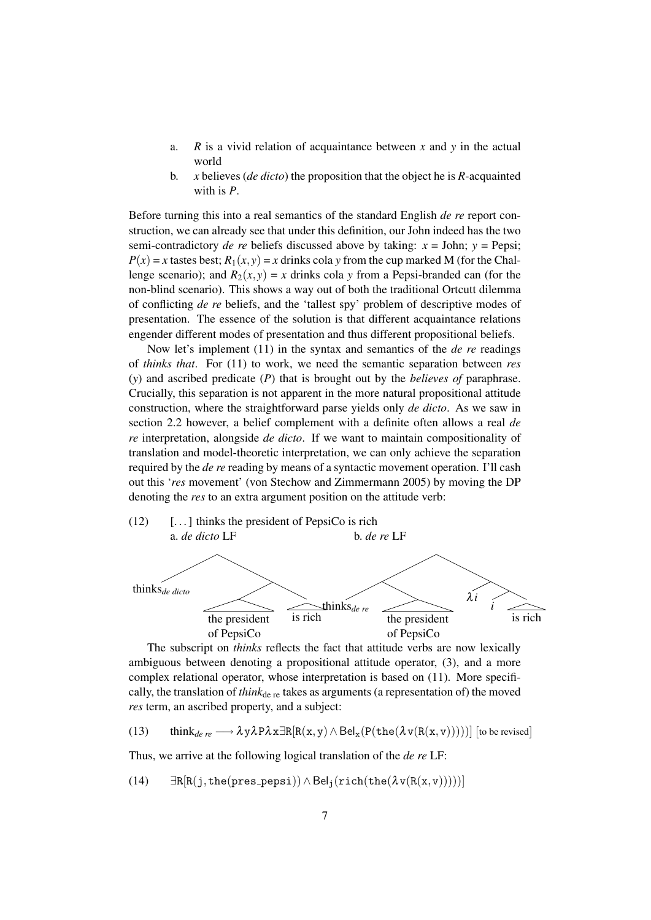- a. *R* is a vivid relation of acquaintance between *x* and *y* in the actual world
- b. *x* believes (*de dicto*) the proposition that the object he is *R*-acquainted with is *P*.

Before turning this into a real semantics of the standard English *de re* report construction, we can already see that under this definition, our John indeed has the two semi-contradictory *de re* beliefs discussed above by taking:  $x =$  John;  $y =$  Pepsi;  $P(x) = x$  tastes best;  $R_1(x, y) = x$  drinks cola *y* from the cup marked M (for the Challenge scenario); and  $R_2(x, y) = x$  drinks cola *y* from a Pepsi-branded can (for the non-blind scenario). This shows a way out of both the traditional Ortcutt dilemma of conflicting *de re* beliefs, and the 'tallest spy' problem of descriptive modes of presentation. The essence of the solution is that different acquaintance relations engender different modes of presentation and thus different propositional beliefs.

Now let's implement (11) in the syntax and semantics of the *de re* readings of *thinks that*. For (11) to work, we need the semantic separation between *res* (*y*) and ascribed predicate (*P*) that is brought out by the *believes of* paraphrase. Crucially, this separation is not apparent in the more natural propositional attitude construction, where the straightforward parse yields only *de dicto*. As we saw in section 2.2 however, a belief complement with a definite often allows a real *de re* interpretation, alongside *de dicto*. If we want to maintain compositionality of translation and model-theoretic interpretation, we can only achieve the separation required by the *de re* reading by means of a syntactic movement operation. I'll cash out this '*res* movement' (von Stechow and Zimmermann 2005) by moving the DP denoting the *res* to an extra argument position on the attitude verb:



The subscript on *thinks* reflects the fact that attitude verbs are now lexically ambiguous between denoting a propositional attitude operator, (3), and a more complex relational operator, whose interpretation is based on (11). More specifically, the translation of *think*<sub>de re</sub> takes as arguments (a representation of) the moved *res* term, an ascribed property, and a subject:

(13) think<sub>de re</sub>  $\longrightarrow \lambda y \lambda P \lambda x \exists R[R(x,y) \wedge Bel_x(P(the(\lambda v(R(x,v)))))]$  [to be revised]

Thus, we arrive at the following logical translation of the *de re* LF:

$$
(14) \qquad \exists R[R(j, the (pres\_pepsi)) \wedge Bel_j(\text{rich}(\text{the}(\lambda v(R(x, v)))))]
$$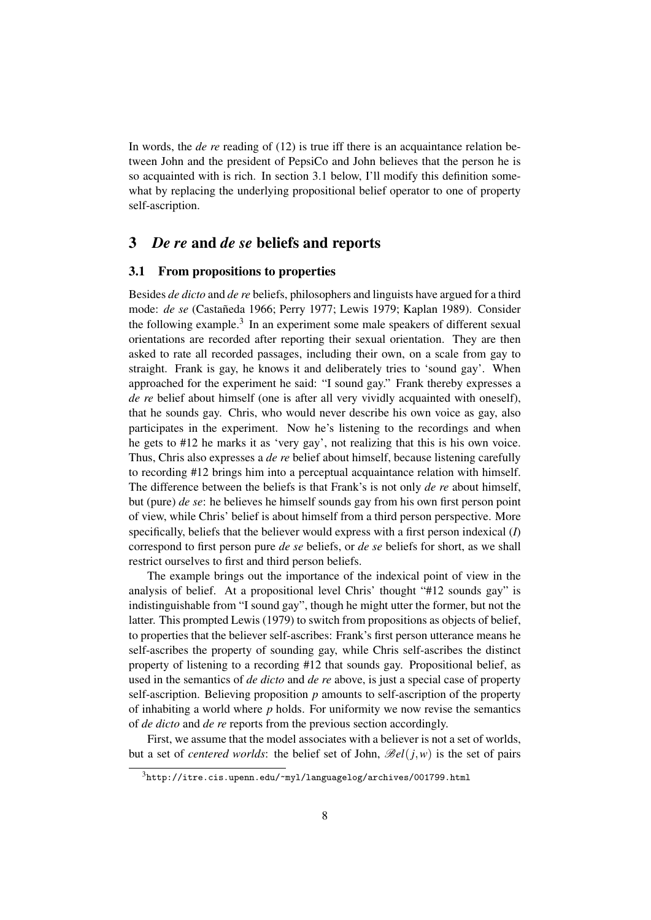In words, the *de re* reading of (12) is true iff there is an acquaintance relation between John and the president of PepsiCo and John believes that the person he is so acquainted with is rich. In section 3.1 below, I'll modify this definition somewhat by replacing the underlying propositional belief operator to one of property self-ascription.

# 3 *De re* and *de se* beliefs and reports

#### 3.1 From propositions to properties

Besides *de dicto* and *de re* beliefs, philosophers and linguists have argued for a third mode: *de se* (Castañeda 1966; Perry 1977; Lewis 1979; Kaplan 1989). Consider the following example. $3$  In an experiment some male speakers of different sexual orientations are recorded after reporting their sexual orientation. They are then asked to rate all recorded passages, including their own, on a scale from gay to straight. Frank is gay, he knows it and deliberately tries to 'sound gay'. When approached for the experiment he said: "I sound gay." Frank thereby expresses a *de re* belief about himself (one is after all very vividly acquainted with oneself), that he sounds gay. Chris, who would never describe his own voice as gay, also participates in the experiment. Now he's listening to the recordings and when he gets to #12 he marks it as 'very gay', not realizing that this is his own voice. Thus, Chris also expresses a *de re* belief about himself, because listening carefully to recording #12 brings him into a perceptual acquaintance relation with himself. The difference between the beliefs is that Frank's is not only *de re* about himself, but (pure) *de se*: he believes he himself sounds gay from his own first person point of view, while Chris' belief is about himself from a third person perspective. More specifically, beliefs that the believer would express with a first person indexical (*I*) correspond to first person pure *de se* beliefs, or *de se* beliefs for short, as we shall restrict ourselves to first and third person beliefs.

The example brings out the importance of the indexical point of view in the analysis of belief. At a propositional level Chris' thought "#12 sounds gay" is indistinguishable from "I sound gay", though he might utter the former, but not the latter. This prompted Lewis (1979) to switch from propositions as objects of belief, to properties that the believer self-ascribes: Frank's first person utterance means he self-ascribes the property of sounding gay, while Chris self-ascribes the distinct property of listening to a recording #12 that sounds gay. Propositional belief, as used in the semantics of *de dicto* and *de re* above, is just a special case of property self-ascription. Believing proposition *p* amounts to self-ascription of the property of inhabiting a world where *p* holds. For uniformity we now revise the semantics of *de dicto* and *de re* reports from the previous section accordingly.

First, we assume that the model associates with a believer is not a set of worlds, but a set of *centered worlds*: the belief set of John,  $\mathcal{B}el(j, w)$  is the set of pairs

<sup>3</sup>http://itre.cis.upenn.edu/~myl/languagelog/archives/001799.html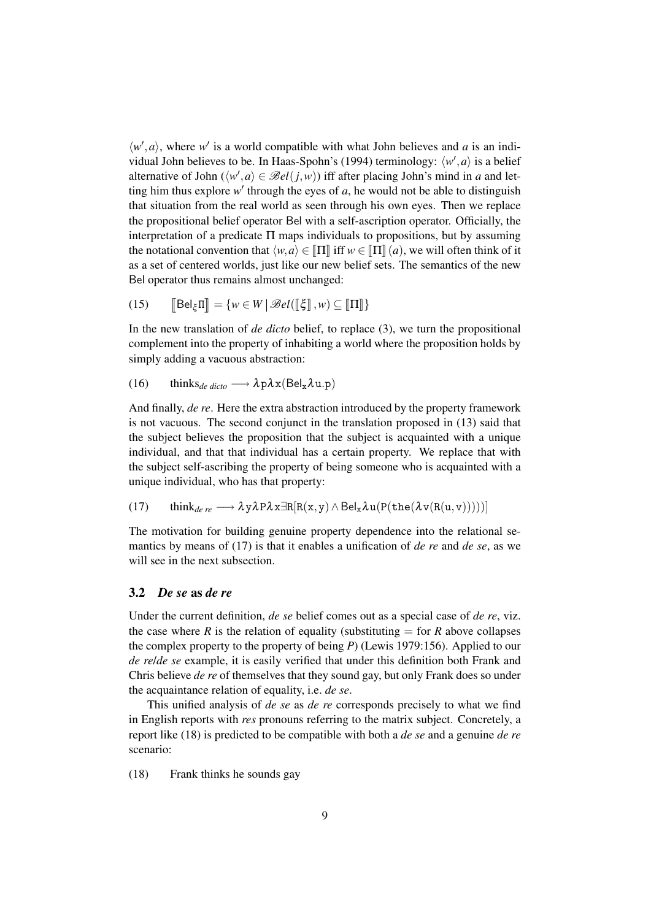$\langle w', a \rangle$ , where w' is a world compatible with what John believes and *a* is an individual John believes to be. In Haas-Spohn's (1994) terminology:  $\langle w', a \rangle$  is a belief alternative of John ( $\langle w', a \rangle \in \mathcal{B}el(j, w)$ ) iff after placing John's mind in *a* and letting him thus explore  $w'$  through the eyes of  $a$ , he would not be able to distinguish that situation from the real world as seen through his own eyes. Then we replace the propositional belief operator Bel with a self-ascription operator. Officially, the interpretation of a predicate  $\Pi$  maps individuals to propositions, but by assuming the notational convention that  $\langle w, a \rangle \in \llbracket \Pi \rrbracket$  iff  $w \in \llbracket \Pi \rrbracket$  (*a*), we will often think of it as a set of centered worlds, just like our new belief sets. The semantics of the new Bel operator thus remains almost unchanged:

(15) 
$$
\mathbb{E}[\text{Bel}_{\xi}\Pi] = \{w \in W \mid \mathcal{B}el(\mathbb{E}], w) \subseteq \mathbb{E}[\Pi]\}
$$

In the new translation of *de dicto* belief, to replace (3), we turn the propositional complement into the property of inhabiting a world where the proposition holds by simply adding a vacuous abstraction:

(16) 
$$
\text{thinks}_{de\,dicto} \longrightarrow \lambda p \lambda x (Bel_x \lambda u.p)
$$

And finally, *de re*. Here the extra abstraction introduced by the property framework is not vacuous. The second conjunct in the translation proposed in (13) said that the subject believes the proposition that the subject is acquainted with a unique individual, and that that individual has a certain property. We replace that with the subject self-ascribing the property of being someone who is acquainted with a unique individual, who has that property:

$$
(17) \qquad \text{think}_{de\text{ re}}\longrightarrow \lambda y\lambda P\lambda x\exists R[R(x,y)\wedge\text{Bel}_x\lambda u(P(\text{the}(\lambda v(R(u,v)))))]
$$

The motivation for building genuine property dependence into the relational semantics by means of (17) is that it enables a unification of *de re* and *de se*, as we will see in the next subsection.

#### 3.2 *De se* as *de re*

Under the current definition, *de se* belief comes out as a special case of *de re*, viz. the case where *R* is the relation of equality (substituting  $=$  for *R* above collapses the complex property to the property of being *P*) (Lewis 1979:156). Applied to our *de re*/*de se* example, it is easily verified that under this definition both Frank and Chris believe *de re* of themselves that they sound gay, but only Frank does so under the acquaintance relation of equality, i.e. *de se*.

This unified analysis of *de se* as *de re* corresponds precisely to what we find in English reports with *res* pronouns referring to the matrix subject. Concretely, a report like (18) is predicted to be compatible with both a *de se* and a genuine *de re* scenario:

(18) Frank thinks he sounds gay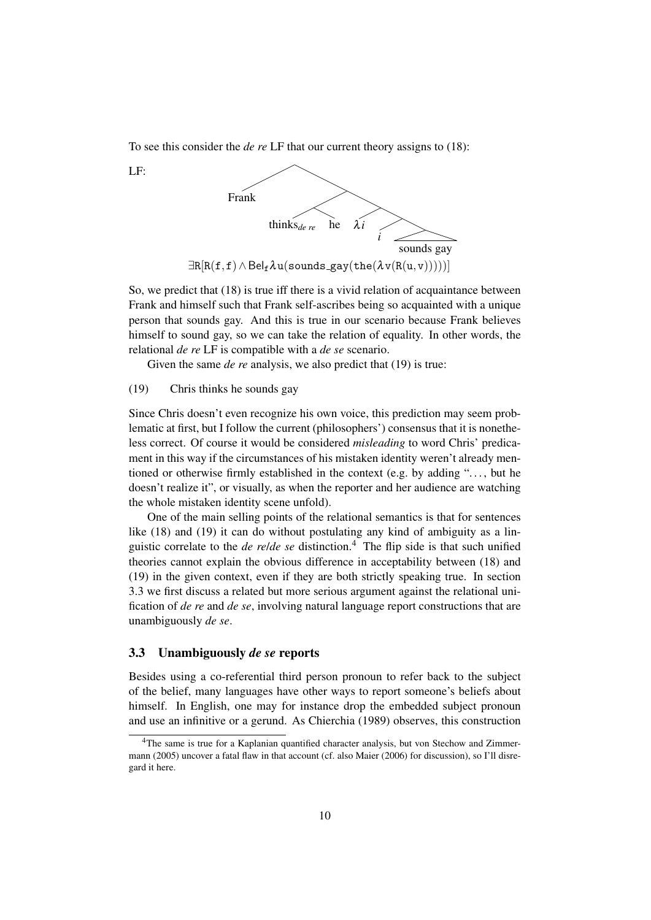To see this consider the *de re* LF that our current theory assigns to (18):



So, we predict that (18) is true iff there is a vivid relation of acquaintance between Frank and himself such that Frank self-ascribes being so acquainted with a unique person that sounds gay. And this is true in our scenario because Frank believes himself to sound gay, so we can take the relation of equality. In other words, the relational *de re* LF is compatible with a *de se* scenario.

Given the same *de re* analysis, we also predict that (19) is true:

#### (19) Chris thinks he sounds gay

Since Chris doesn't even recognize his own voice, this prediction may seem problematic at first, but I follow the current (philosophers') consensus that it is nonetheless correct. Of course it would be considered *misleading* to word Chris' predicament in this way if the circumstances of his mistaken identity weren't already mentioned or otherwise firmly established in the context (e.g. by adding "..., but he doesn't realize it", or visually, as when the reporter and her audience are watching the whole mistaken identity scene unfold).

One of the main selling points of the relational semantics is that for sentences like (18) and (19) it can do without postulating any kind of ambiguity as a linguistic correlate to the *de re*/*de se* distinction.<sup>4</sup> The flip side is that such unified theories cannot explain the obvious difference in acceptability between (18) and (19) in the given context, even if they are both strictly speaking true. In section 3.3 we first discuss a related but more serious argument against the relational unification of *de re* and *de se*, involving natural language report constructions that are unambiguously *de se*.

### 3.3 Unambiguously *de se* reports

Besides using a co-referential third person pronoun to refer back to the subject of the belief, many languages have other ways to report someone's beliefs about himself. In English, one may for instance drop the embedded subject pronoun and use an infinitive or a gerund. As Chierchia (1989) observes, this construction

<sup>&</sup>lt;sup>4</sup>The same is true for a Kaplanian quantified character analysis, but von Stechow and Zimmermann (2005) uncover a fatal flaw in that account (cf. also Maier (2006) for discussion), so I'll disregard it here.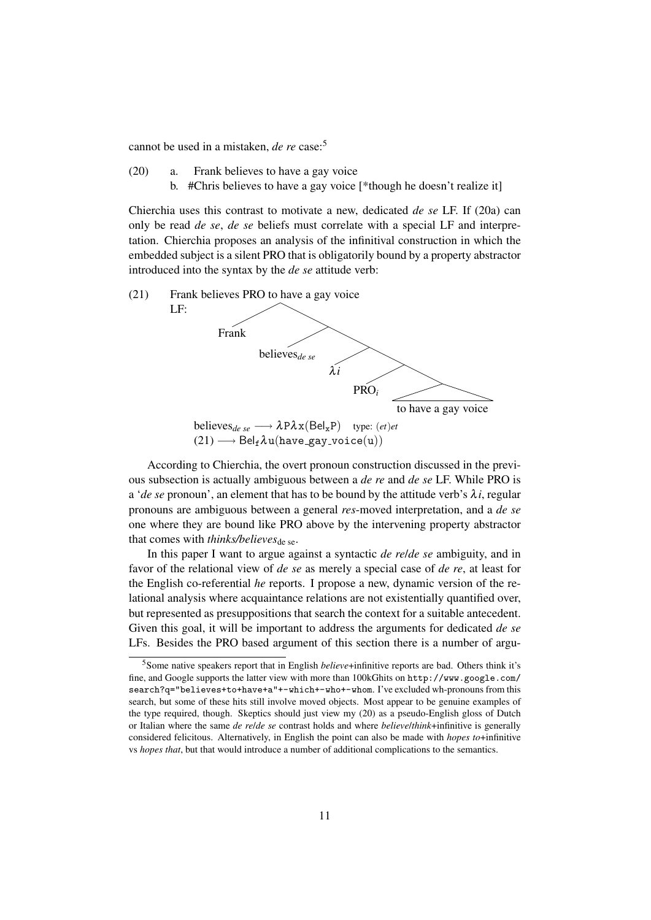cannot be used in a mistaken, *de re* case:<sup>5</sup>

(20) a. Frank believes to have a gay voice b. #Chris believes to have a gay voice [\*though he doesn't realize it]

Chierchia uses this contrast to motivate a new, dedicated *de se* LF. If (20a) can only be read *de se*, *de se* beliefs must correlate with a special LF and interpretation. Chierchia proposes an analysis of the infinitival construction in which the embedded subject is a silent PRO that is obligatorily bound by a property abstractor introduced into the syntax by the *de se* attitude verb:



According to Chierchia, the overt pronoun construction discussed in the previous subsection is actually ambiguous between a *de re* and *de se* LF. While PRO is a '*de se* pronoun', an element that has to be bound by the attitude verb's λ*i*, regular pronouns are ambiguous between a general *res*-moved interpretation, and a *de se* one where they are bound like PRO above by the intervening property abstractor that comes with *thinks/believes*<sub>de se</sub>.

In this paper I want to argue against a syntactic *de re*/*de se* ambiguity, and in favor of the relational view of *de se* as merely a special case of *de re*, at least for the English co-referential *he* reports. I propose a new, dynamic version of the relational analysis where acquaintance relations are not existentially quantified over, but represented as presuppositions that search the context for a suitable antecedent. Given this goal, it will be important to address the arguments for dedicated *de se* LFs. Besides the PRO based argument of this section there is a number of argu-

<sup>5</sup>Some native speakers report that in English *believe*+infinitive reports are bad. Others think it's fine, and Google supports the latter view with more than 100kGhits on http://www.google.com/ search?q="believes+to+have+a"+-which+-who+-whom. I've excluded wh-pronouns from this search, but some of these hits still involve moved objects. Most appear to be genuine examples of the type required, though. Skeptics should just view my (20) as a pseudo-English gloss of Dutch or Italian where the same *de re*/*de se* contrast holds and where *believe*/*think*+infinitive is generally considered felicitous. Alternatively, in English the point can also be made with *hopes to*+infinitive vs *hopes that*, but that would introduce a number of additional complications to the semantics.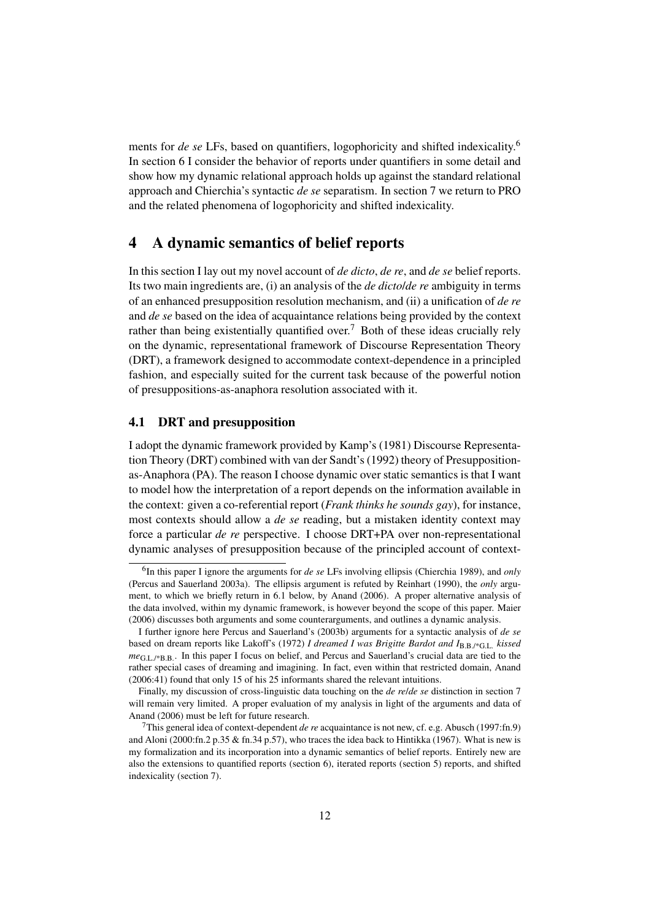ments for *de se* LFs, based on quantifiers, logophoricity and shifted indexicality.<sup>6</sup> In section 6 I consider the behavior of reports under quantifiers in some detail and show how my dynamic relational approach holds up against the standard relational approach and Chierchia's syntactic *de se* separatism. In section 7 we return to PRO and the related phenomena of logophoricity and shifted indexicality.

# 4 A dynamic semantics of belief reports

In this section I lay out my novel account of *de dicto*, *de re*, and *de se* belief reports. Its two main ingredients are, (i) an analysis of the *de dicto*/*de re* ambiguity in terms of an enhanced presupposition resolution mechanism, and (ii) a unification of *de re* and *de se* based on the idea of acquaintance relations being provided by the context rather than being existentially quantified over.<sup>7</sup> Both of these ideas crucially rely on the dynamic, representational framework of Discourse Representation Theory (DRT), a framework designed to accommodate context-dependence in a principled fashion, and especially suited for the current task because of the powerful notion of presuppositions-as-anaphora resolution associated with it.

#### 4.1 DRT and presupposition

I adopt the dynamic framework provided by Kamp's (1981) Discourse Representation Theory (DRT) combined with van der Sandt's (1992) theory of Presuppositionas-Anaphora (PA). The reason I choose dynamic over static semantics is that I want to model how the interpretation of a report depends on the information available in the context: given a co-referential report (*Frank thinks he sounds gay*), for instance, most contexts should allow a *de se* reading, but a mistaken identity context may force a particular *de re* perspective. I choose DRT+PA over non-representational dynamic analyses of presupposition because of the principled account of context-

<sup>6</sup> In this paper I ignore the arguments for *de se* LFs involving ellipsis (Chierchia 1989), and *only* (Percus and Sauerland 2003a). The ellipsis argument is refuted by Reinhart (1990), the *only* argument, to which we briefly return in 6.1 below, by Anand (2006). A proper alternative analysis of the data involved, within my dynamic framework, is however beyond the scope of this paper. Maier (2006) discusses both arguments and some counterarguments, and outlines a dynamic analysis.

I further ignore here Percus and Sauerland's (2003b) arguments for a syntactic analysis of *de se* based on dream reports like Lakoff's (1972) *I dreamed I was Brigitte Bardot and I*<sub>BB/\*GI</sub> *kissed*  $me<sub>G.L.</sub>$ <sup>\*</sup>B.B.. In this paper I focus on belief, and Percus and Sauerland's crucial data are tied to the rather special cases of dreaming and imagining. In fact, even within that restricted domain, Anand (2006:41) found that only 15 of his 25 informants shared the relevant intuitions.

Finally, my discussion of cross-linguistic data touching on the *de re*/*de se* distinction in section 7 will remain very limited. A proper evaluation of my analysis in light of the arguments and data of Anand (2006) must be left for future research.

<sup>7</sup>This general idea of context-dependent *de re* acquaintance is not new, cf. e.g. Abusch (1997:fn.9) and Aloni (2000:fn.2 p.35 & fn.34 p.57), who traces the idea back to Hintikka (1967). What is new is my formalization and its incorporation into a dynamic semantics of belief reports. Entirely new are also the extensions to quantified reports (section 6), iterated reports (section 5) reports, and shifted indexicality (section 7).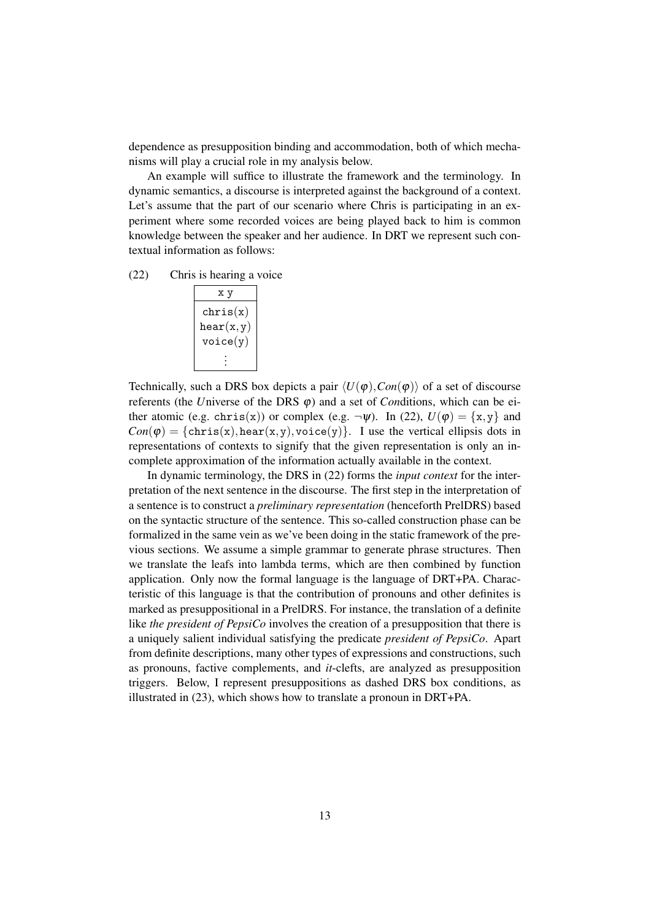dependence as presupposition binding and accommodation, both of which mechanisms will play a crucial role in my analysis below.

An example will suffice to illustrate the framework and the terminology. In dynamic semantics, a discourse is interpreted against the background of a context. Let's assume that the part of our scenario where Chris is participating in an experiment where some recorded voices are being played back to him is common knowledge between the speaker and her audience. In DRT we represent such contextual information as follows:

(22) Chris is hearing a voice



Technically, such a DRS box depicts a pair  $\langle U(\varphi),Con(\varphi) \rangle$  of a set of discourse referents (the *U*niverse of the DRS ϕ) and a set of *Con*ditions, which can be either atomic (e.g. chris(x)) or complex (e.g.  $\neg \psi$ ). In (22),  $U(\varphi) = \{x, y\}$  and  $Con(\varphi) = \{ \text{chris}(x), \text{hear}(x, y), \text{voice}(y) \}.$  I use the vertical ellipsis dots in representations of contexts to signify that the given representation is only an incomplete approximation of the information actually available in the context.

In dynamic terminology, the DRS in (22) forms the *input context* for the interpretation of the next sentence in the discourse. The first step in the interpretation of a sentence is to construct a *preliminary representation* (henceforth PrelDRS) based on the syntactic structure of the sentence. This so-called construction phase can be formalized in the same vein as we've been doing in the static framework of the previous sections. We assume a simple grammar to generate phrase structures. Then we translate the leafs into lambda terms, which are then combined by function application. Only now the formal language is the language of DRT+PA. Characteristic of this language is that the contribution of pronouns and other definites is marked as presuppositional in a PrelDRS. For instance, the translation of a definite like *the president of PepsiCo* involves the creation of a presupposition that there is a uniquely salient individual satisfying the predicate *president of PepsiCo*. Apart from definite descriptions, many other types of expressions and constructions, such as pronouns, factive complements, and *it*-clefts, are analyzed as presupposition triggers. Below, I represent presuppositions as dashed DRS box conditions, as illustrated in (23), which shows how to translate a pronoun in DRT+PA.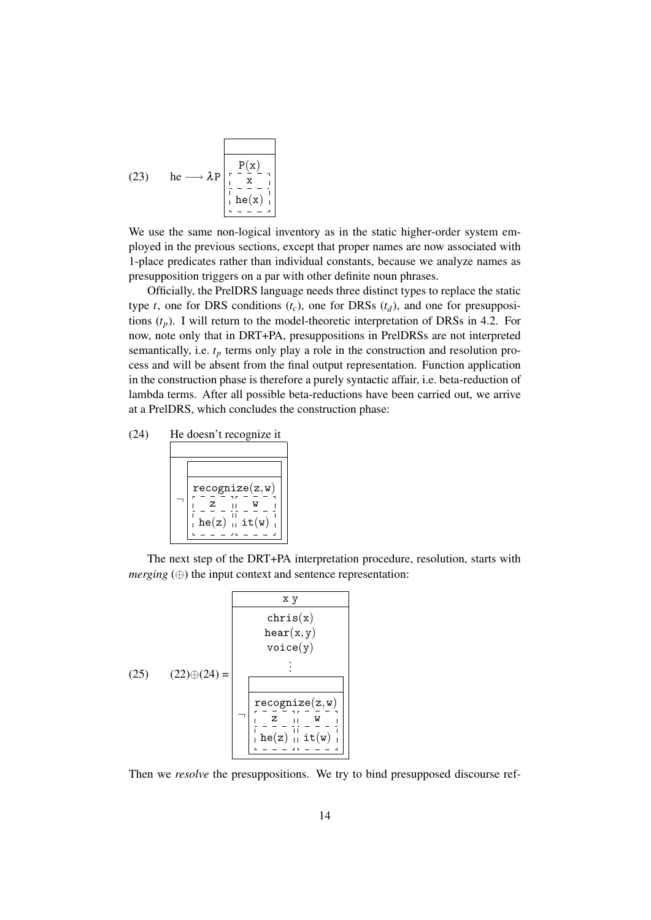(23) 
$$
\mathbf{he} \longrightarrow \lambda \mathbf{P} \begin{bmatrix} \mathbf{P}(\mathbf{x}) \\ \frac{\mathbf{r}}{2} & \frac{\mathbf{x}}{2} \\ \frac{\mathbf{r}}{2} & -\frac{\mathbf{r}}{2} \\ \frac{\mathbf{r}}{2} & \mathbf{he}(\mathbf{x}) \end{bmatrix}
$$

We use the same non-logical inventory as in the static higher-order system employed in the previous sections, except that proper names are now associated with 1-place predicates rather than individual constants, because we analyze names as presupposition triggers on a par with other definite noun phrases.

Officially, the PrelDRS language needs three distinct types to replace the static type *t*, one for DRS conditions  $(t_c)$ , one for DRSs  $(t_d)$ , and one for presuppositions  $(t_p)$ . I will return to the model-theoretic interpretation of DRSs in 4.2. For now, note only that in DRT+PA, presuppositions in PrelDRSs are not interpreted semantically, i.e. *t<sup>p</sup>* terms only play a role in the construction and resolution process and will be absent from the final output representation. Function application in the construction phase is therefore a purely syntactic affair, i.e. beta-reduction of lambda terms. After all possible beta-reductions have been carried out, we arrive at a PrelDRS, which concludes the construction phase:

(24) He doesn't recognize it

| z<br>$he(z)$ i it(w) |  | recognize(z, w) |
|----------------------|--|-----------------|
|----------------------|--|-----------------|

The next step of the DRT+PA interpretation procedure, resolution, starts with *merging*  $(\oplus)$  the input context and sentence representation:

$$
(25) (22) \oplus (24) = \overline{ \left[ \begin{array}{c} x \text{ y} \\ \text{chris}(x) \\ \text{hear}(x, y) \\ \text{voice}(y) \\ \vdots \\ \overline{ \left[ \begin{array}{c} \text{recognize}(z, w) \\ \text{r} \\ \text{r} \\ \text{r} \\ \text{r} \\ \text{r} \\ \text{r} \\ \text{r} \\ \text{r} \\ \text{r} \\ \text{r} \\ \text{r} \\ \text{r} \\ \text{r} \\ \text{r} \\ \text{r} \\ \text{r} \\ \text{r} \\ \text{r} \\ \text{r} \\ \text{r} \\ \text{r} \\ \text{r} \\ \text{r} \\ \text{r} \\ \text{r} \\ \text{r} \\ \text{r} \\ \text{r} \\ \text{r} \\ \text{r} \\ \text{r} \\ \text{r} \\ \text{r} \\ \text{r} \\ \text{r} \\ \text{r} \\ \text{r} \\ \text{r} \\ \text{r} \\ \text{r} \\ \text{r} \\ \text{r} \\ \text{r} \\ \text{r} \\ \text{r} \\ \text{r} \\ \text{r} \\ \text{r} \\ \text{r} \\ \text{r} \\ \text{r} \\ \text{r} \\ \text{r} \\ \text{r} \\ \text{r} \\ \text{r} \\ \text{r} \\ \text{r} \\ \text{r} \\ \text{r} \\ \text{r} \\ \text{r} \\ \text{r} \\ \text{r} \\ \text{r} \\ \text{r} \\ \text{r} \\ \text{r} \\ \text{r} \\ \text{r} \\ \text{r} \\ \text{r} \\ \text{r} \\ \text{r} \\ \text{r} \\ \text{r} \\ \text{r} \\ \text{r} \\ \text{r} \\ \text{r} \\ \text{r} \\ \text{r} \\ \text{r} \\ \text{r} \\ \text{r} \\ \text{r} \\ \text{r} \\ \text{r} \\ \text{r} \\ \text{r} \\ \text{r} \\ \text{r} \\ \text{r} \\ \text{r} \\ \text{r} \\ \text{r} \\ \text{r} \\ \text{r} \\ \text{r} \\ \text{r} \\ \text{r} \\ \text{r} \\ \text{r} \\ \text{r} \\ \text{r} \\ \text{r} \\ \text{r} \\ \text{r} \\ \text{r} \\ \text{r} \\ \text{r} \\ \
$$

Then we *resolve* the presuppositions. We try to bind presupposed discourse ref-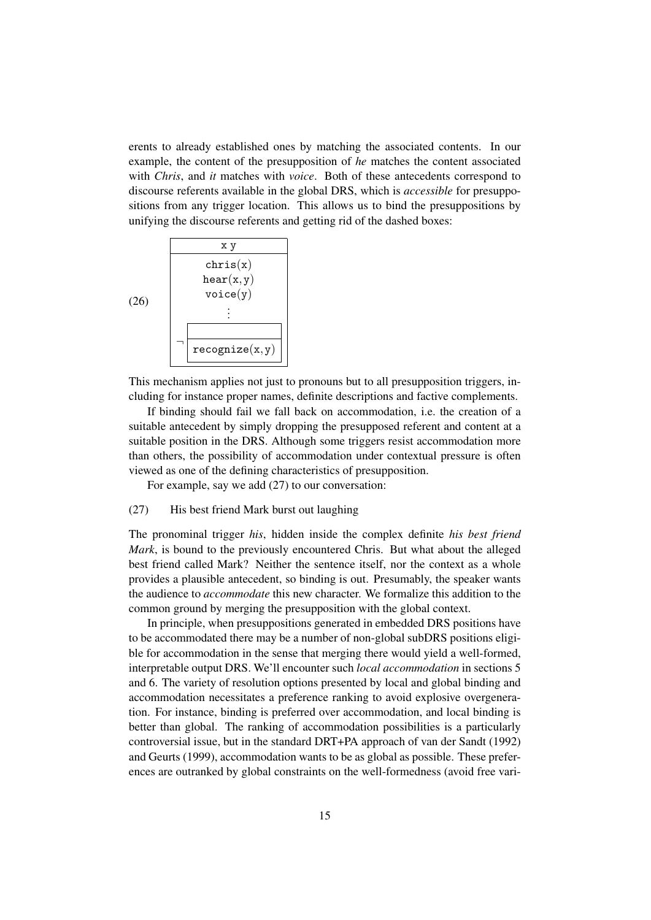erents to already established ones by matching the associated contents. In our example, the content of the presupposition of *he* matches the content associated with *Chris*, and *it* matches with *voice*. Both of these antecedents correspond to discourse referents available in the global DRS, which is *accessible* for presuppositions from any trigger location. This allows us to bind the presuppositions by unifying the discourse referents and getting rid of the dashed boxes:



This mechanism applies not just to pronouns but to all presupposition triggers, including for instance proper names, definite descriptions and factive complements.

If binding should fail we fall back on accommodation, i.e. the creation of a suitable antecedent by simply dropping the presupposed referent and content at a suitable position in the DRS. Although some triggers resist accommodation more than others, the possibility of accommodation under contextual pressure is often viewed as one of the defining characteristics of presupposition.

For example, say we add (27) to our conversation:

#### (27) His best friend Mark burst out laughing

The pronominal trigger *his*, hidden inside the complex definite *his best friend Mark*, is bound to the previously encountered Chris. But what about the alleged best friend called Mark? Neither the sentence itself, nor the context as a whole provides a plausible antecedent, so binding is out. Presumably, the speaker wants the audience to *accommodate* this new character. We formalize this addition to the common ground by merging the presupposition with the global context.

In principle, when presuppositions generated in embedded DRS positions have to be accommodated there may be a number of non-global subDRS positions eligible for accommodation in the sense that merging there would yield a well-formed, interpretable output DRS. We'll encounter such *local accommodation* in sections 5 and 6. The variety of resolution options presented by local and global binding and accommodation necessitates a preference ranking to avoid explosive overgeneration. For instance, binding is preferred over accommodation, and local binding is better than global. The ranking of accommodation possibilities is a particularly controversial issue, but in the standard DRT+PA approach of van der Sandt (1992) and Geurts (1999), accommodation wants to be as global as possible. These preferences are outranked by global constraints on the well-formedness (avoid free vari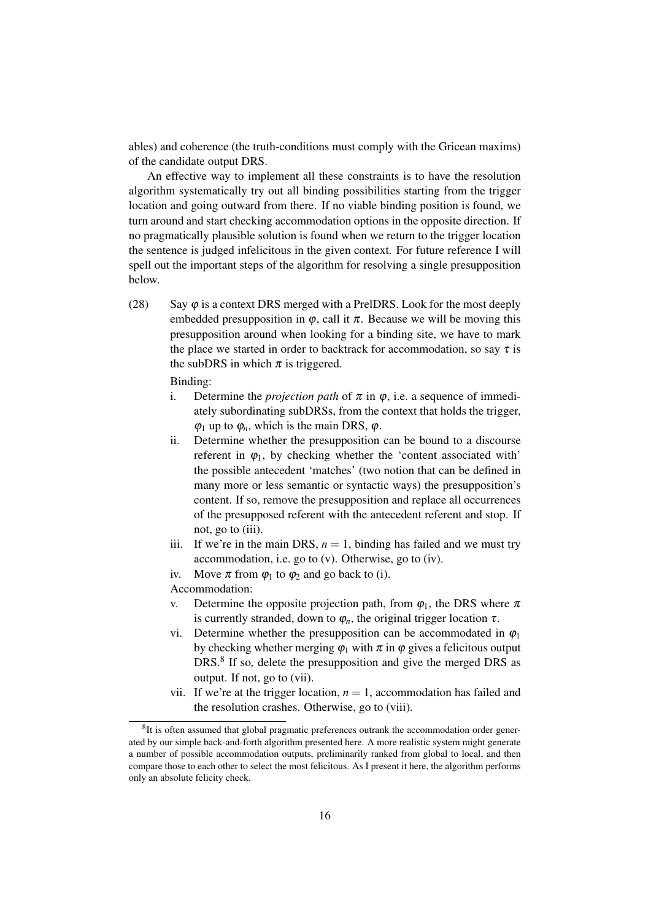ables) and coherence (the truth-conditions must comply with the Gricean maxims) of the candidate output DRS.

An effective way to implement all these constraints is to have the resolution algorithm systematically try out all binding possibilities starting from the trigger location and going outward from there. If no viable binding position is found, we turn around and start checking accommodation options in the opposite direction. If no pragmatically plausible solution is found when we return to the trigger location the sentence is judged infelicitous in the given context. For future reference I will spell out the important steps of the algorithm for resolving a single presupposition below.

(28) Say  $\varphi$  is a context DRS merged with a PrelDRS. Look for the most deeply embedded presupposition in  $\varphi$ , call it  $\pi$ . Because we will be moving this presupposition around when looking for a binding site, we have to mark the place we started in order to backtrack for accommodation, so say  $\tau$  is the subDRS in which  $\pi$  is triggered.

Binding:

- i. Determine the *projection path* of  $\pi$  in  $\varphi$ , i.e. a sequence of immediately subordinating subDRSs, from the context that holds the trigger,  $\varphi_1$  up to  $\varphi_n$ , which is the main DRS,  $\varphi$ .
- ii. Determine whether the presupposition can be bound to a discourse referent in  $\varphi_1$ , by checking whether the 'content associated with' the possible antecedent 'matches' (two notion that can be defined in many more or less semantic or syntactic ways) the presupposition's content. If so, remove the presupposition and replace all occurrences of the presupposed referent with the antecedent referent and stop. If not, go to (iii).
- iii. If we're in the main DRS,  $n = 1$ , binding has failed and we must try accommodation, i.e. go to (v). Otherwise, go to (iv).
- iv. Move  $\pi$  from  $\varphi_1$  to  $\varphi_2$  and go back to (i).

Accommodation:

- v. Determine the opposite projection path, from  $\varphi_1$ , the DRS where  $\pi$ is currently stranded, down to  $\varphi_n$ , the original trigger location  $\tau$ .
- vi. Determine whether the presupposition can be accommodated in  $\varphi_1$ by checking whether merging  $\varphi_1$  with  $\pi$  in  $\varphi$  gives a felicitous output DRS.<sup>8</sup> If so, delete the presupposition and give the merged DRS as output. If not, go to (vii).
- vii. If we're at the trigger location,  $n = 1$ , accommodation has failed and the resolution crashes. Otherwise, go to (viii).

<sup>&</sup>lt;sup>8</sup>It is often assumed that global pragmatic preferences outrank the accommodation order generated by our simple back-and-forth algorithm presented here. A more realistic system might generate a number of possible accommodation outputs, preliminarily ranked from global to local, and then compare those to each other to select the most felicitous. As I present it here, the algorithm performs only an absolute felicity check.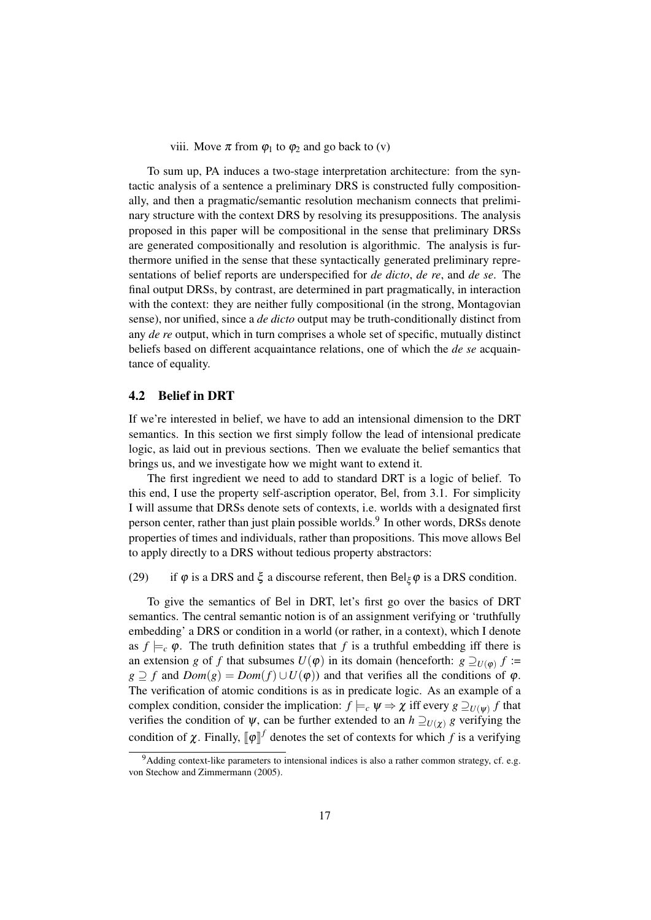viii. Move  $\pi$  from  $\varphi_1$  to  $\varphi_2$  and go back to (v)

To sum up, PA induces a two-stage interpretation architecture: from the syntactic analysis of a sentence a preliminary DRS is constructed fully compositionally, and then a pragmatic/semantic resolution mechanism connects that preliminary structure with the context DRS by resolving its presuppositions. The analysis proposed in this paper will be compositional in the sense that preliminary DRSs are generated compositionally and resolution is algorithmic. The analysis is furthermore unified in the sense that these syntactically generated preliminary representations of belief reports are underspecified for *de dicto*, *de re*, and *de se*. The final output DRSs, by contrast, are determined in part pragmatically, in interaction with the context: they are neither fully compositional (in the strong, Montagovian sense), nor unified, since a *de dicto* output may be truth-conditionally distinct from any *de re* output, which in turn comprises a whole set of specific, mutually distinct beliefs based on different acquaintance relations, one of which the *de se* acquaintance of equality.

#### 4.2 Belief in DRT

If we're interested in belief, we have to add an intensional dimension to the DRT semantics. In this section we first simply follow the lead of intensional predicate logic, as laid out in previous sections. Then we evaluate the belief semantics that brings us, and we investigate how we might want to extend it.

The first ingredient we need to add to standard DRT is a logic of belief. To this end, I use the property self-ascription operator, Bel, from 3.1. For simplicity I will assume that DRSs denote sets of contexts, i.e. worlds with a designated first person center, rather than just plain possible worlds.<sup>9</sup> In other words, DRSs denote properties of times and individuals, rather than propositions. This move allows Bel to apply directly to a DRS without tedious property abstractors:

(29) if  $\varphi$  is a DRS and  $\xi$  a discourse referent, then Bel $\xi \varphi$  is a DRS condition.

To give the semantics of Bel in DRT, let's first go over the basics of DRT semantics. The central semantic notion is of an assignment verifying or 'truthfully embedding' a DRS or condition in a world (or rather, in a context), which I denote as  $f \models_c \varphi$ . The truth definition states that f is a truthful embedding iff there is an extension *g* of *f* that subsumes  $U(\varphi)$  in its domain (henceforth:  $g \supseteq_{U(\varphi)} f :=$  $g \supseteq f$  and  $Dom(g) = Dom(f) \cup U(\varphi)$  and that verifies all the conditions of  $\varphi$ . The verification of atomic conditions is as in predicate logic. As an example of a complex condition, consider the implication:  $f \models_c \psi \Rightarrow \chi$  iff every  $g \supseteq_{U(\psi)} f$  that verifies the condition of  $\psi$ , can be further extended to an  $h \supseteq_{U(\chi)} g$  verifying the condition of  $\chi$ . Finally,  $[\![\varphi]\!]^f$  denotes the set of contexts for which  $f$  is a verifying

 $9$ Adding context-like parameters to intensional indices is also a rather common strategy, cf. e.g. von Stechow and Zimmermann (2005).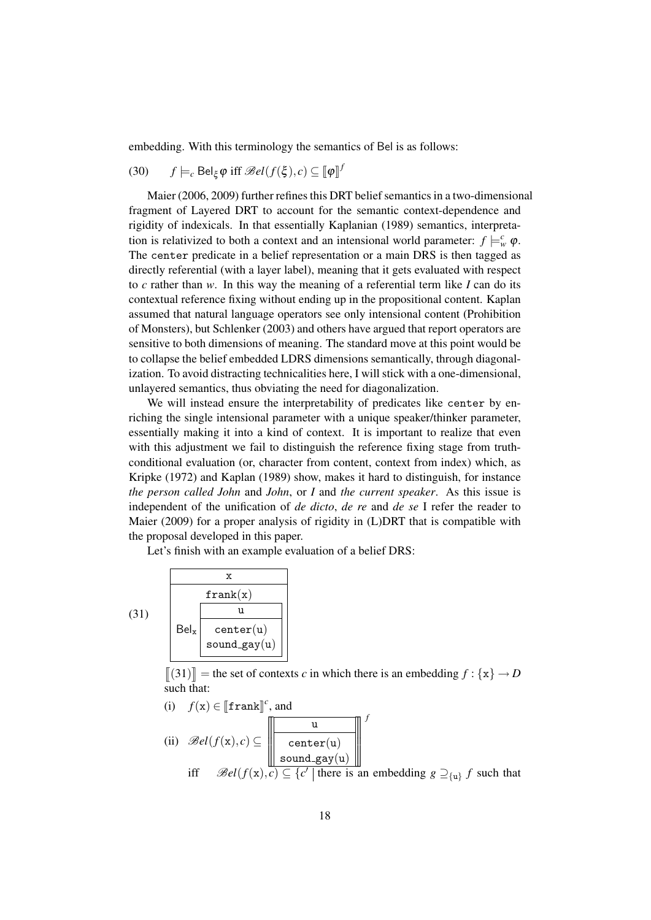embedding. With this terminology the semantics of Bel is as follows:

(30) 
$$
f \models_c \text{Bel}_{\xi} \varphi \text{ iff } \mathscr{B}el(f(\xi), c) \subseteq [\![\varphi]\!]^j
$$

Maier (2006, 2009) further refines this DRT belief semantics in a two-dimensional fragment of Layered DRT to account for the semantic context-dependence and rigidity of indexicals. In that essentially Kaplanian (1989) semantics, interpretation is relativized to both a context and an intensional world parameter:  $f \models_w^c \varphi$ . The center predicate in a belief representation or a main DRS is then tagged as directly referential (with a layer label), meaning that it gets evaluated with respect to *c* rather than *w*. In this way the meaning of a referential term like *I* can do its contextual reference fixing without ending up in the propositional content. Kaplan assumed that natural language operators see only intensional content (Prohibition of Monsters), but Schlenker (2003) and others have argued that report operators are sensitive to both dimensions of meaning. The standard move at this point would be to collapse the belief embedded LDRS dimensions semantically, through diagonalization. To avoid distracting technicalities here, I will stick with a one-dimensional, unlayered semantics, thus obviating the need for diagonalization.

We will instead ensure the interpretability of predicates like center by enriching the single intensional parameter with a unique speaker/thinker parameter, essentially making it into a kind of context. It is important to realize that even with this adjustment we fail to distinguish the reference fixing stage from truthconditional evaluation (or, character from content, context from index) which, as Kripke (1972) and Kaplan (1989) show, makes it hard to distinguish, for instance *the person called John* and *John*, or *I* and *the current speaker*. As this issue is independent of the unification of *de dicto*, *de re* and *de se* I refer the reader to Maier (2009) for a proper analysis of rigidity in (L)DRT that is compatible with the proposal developed in this paper.

Let's finish with an example evaluation of a belief DRS:

$$
(31)
$$
\n
$$
Bel_x\n\n\overline{Bel_x}\n\n\overline{center(u)}\n\ncenter(u)\nsound_gay(u)
$$

 $\llbracket (31) \rrbracket =$  the set of contexts *c* in which there is an embedding  $f : \{x\} \to D$ such that:

(i) 
$$
f(\mathbf{x}) \in [\mathbf{frank}]^c
$$
, and  
\n(ii)  $\mathscr{B}el(f(\mathbf{x}), c) \subseteq \left\| \begin{array}{c} \mathbf{u} \\ \mathbf{center(u)} \\ \mathbf{sound\_gay(u)} \end{array} \right\|^f$   
\niff  $\mathscr{B}el(f(\mathbf{x}), c) \subseteq \{c' \mid \text{there is an embedding } g \supseteq_{\{\mathbf{u}\}} f \text{ such that}$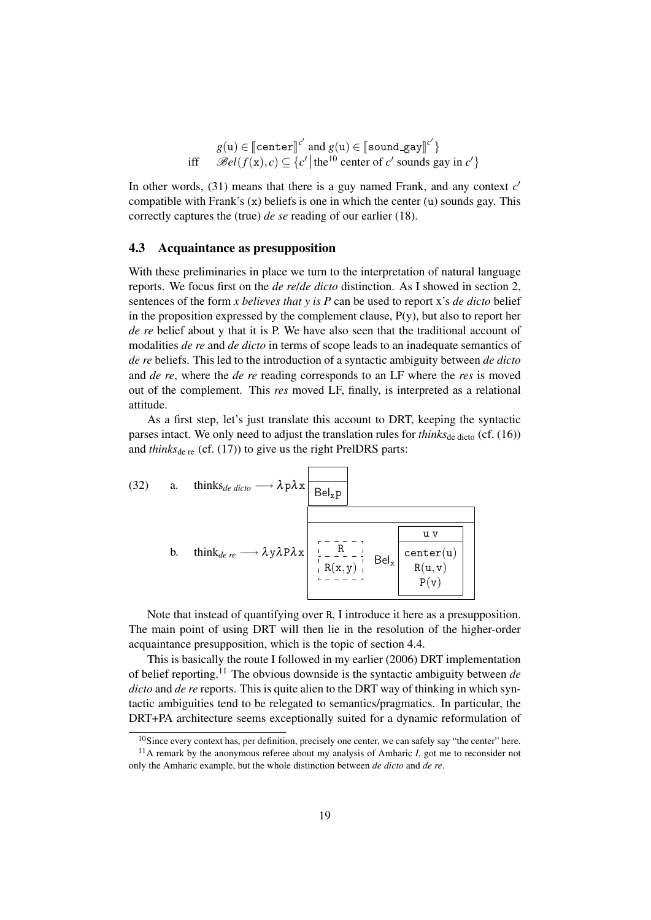$$
g(\mathbf{u}) \in [\text{center}]^{c'} \text{ and } g(\mathbf{u}) \in [\text{sound\_gay}]^{c'}\}
$$
  
iff  $\mathscr{B}el(f(\mathbf{x}), c) \subseteq \{c' | \text{the}^{10} \text{ center of } c' \text{ sounds gay in } c'\}$ 

In other words,  $(31)$  means that there is a guy named Frank, and any context  $c'$ compatible with Frank's  $(x)$  beliefs is one in which the center (u) sounds gay. This correctly captures the (true) *de se* reading of our earlier (18).

#### 4.3 Acquaintance as presupposition

With these preliminaries in place we turn to the interpretation of natural language reports. We focus first on the *de re*/*de dicto* distinction. As I showed in section 2, sentences of the form *x believes that y is P* can be used to report x's *de dicto* belief in the proposition expressed by the complement clause,  $P(y)$ , but also to report her *de re* belief about y that it is P. We have also seen that the traditional account of modalities *de re* and *de dicto* in terms of scope leads to an inadequate semantics of *de re* beliefs. This led to the introduction of a syntactic ambiguity between *de dicto* and *de re*, where the *de re* reading corresponds to an LF where the *res* is moved out of the complement. This *res* moved LF, finally, is interpreted as a relational attitude.

As a first step, let's just translate this account to DRT, keeping the syntactic parses intact. We only need to adjust the translation rules for *thinks* $_{de\,dicto}$  (cf. (16)) and *thinks*<sub>de re</sub> (cf.  $(17)$ ) to give us the right PrelDRS parts:

(32) a. thinks<sub>de dicto</sub> 
$$
\longrightarrow \lambda p \lambda x
$$
  
\n
$$
\begin{array}{|c|c|c|}\n\hline\n\text{Bel}_{x}p \\
\hline\n\text{Bel}_{x}p\n\end{array}
$$
\nb. think<sub>de re</sub>  $\longrightarrow \lambda y \lambda P \lambda x$   
\n
$$
\begin{array}{|c|c|c|}\n\hline\n\text{Rel}_{x} & \text{U} & \text{U} \\
\hline\n\text{Rel}_{x} & \text{E} & \text{center(u)} \\
\hline\n\text{R}(x, y) & \text{R}(u, v) \\
\hline\n\text{P}(v)\n\end{array}
$$

Note that instead of quantifying over R, I introduce it here as a presupposition. The main point of using DRT will then lie in the resolution of the higher-order acquaintance presupposition, which is the topic of section 4.4.

This is basically the route I followed in my earlier (2006) DRT implementation of belief reporting.<sup>11</sup> The obvious downside is the syntactic ambiguity between *de dicto* and *de re* reports. This is quite alien to the DRT way of thinking in which syntactic ambiguities tend to be relegated to semantics/pragmatics. In particular, the DRT+PA architecture seems exceptionally suited for a dynamic reformulation of

 $10$ Since every context has, per definition, precisely one center, we can safely say "the center" here.

<sup>&</sup>lt;sup>11</sup>A remark by the anonymous referee about my analysis of Amharic *I*, got me to reconsider not only the Amharic example, but the whole distinction between *de dicto* and *de re*.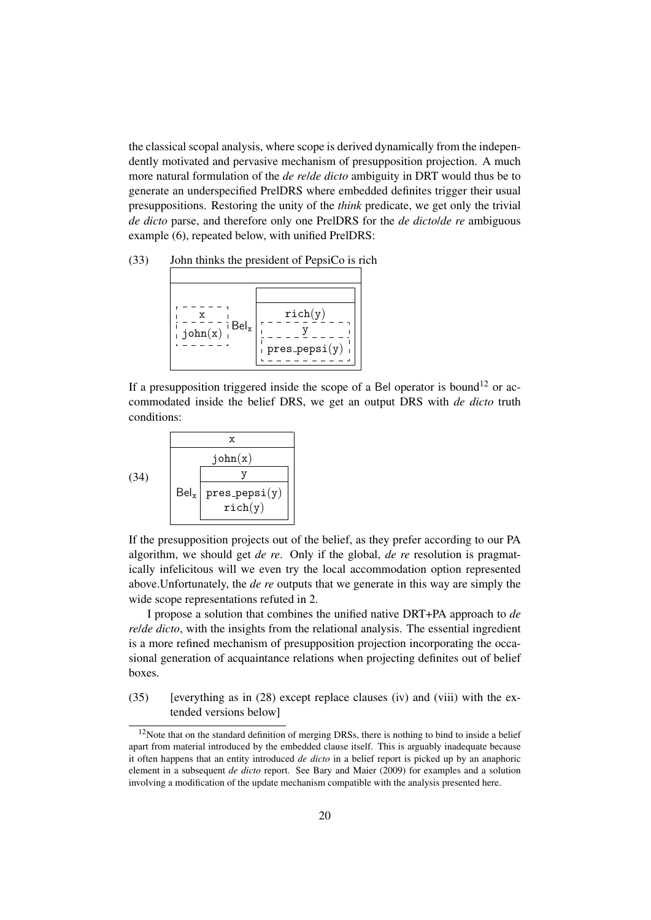the classical scopal analysis, where scope is derived dynamically from the independently motivated and pervasive mechanism of presupposition projection. A much more natural formulation of the *de re*/*de dicto* ambiguity in DRT would thus be to generate an underspecified PrelDRS where embedded definites trigger their usual presuppositions. Restoring the unity of the *think* predicate, we get only the trivial *de dicto* parse, and therefore only one PrelDRS for the *de dicto*/*de re* ambiguous example (6), repeated below, with unified PrelDRS:

(33) John thinks the president of PepsiCo is rich

| i Bel <sub>x</sub>                   | $\text{rich}(y)$                 |
|--------------------------------------|----------------------------------|
| $\frac{- - - - -}{\mathrm{john}(x)}$ | $pres_{\varphi} \text{presj}(y)$ |

If a presupposition triggered inside the scope of a Bel operator is bound<sup>12</sup> or accommodated inside the belief DRS, we get an output DRS with *de dicto* truth conditions:

$$
(34) \quad \begin{array}{|l|}\n \hline\n x \\
 \hline\n \text{John}(x) \\
 \hline\n \text{P} \\
 \text{P} \\
 \text{P} \\
 \text{p} \\
 \text{rich}(y)\n \end{array}
$$

If the presupposition projects out of the belief, as they prefer according to our PA algorithm, we should get *de re*. Only if the global, *de re* resolution is pragmatically infelicitous will we even try the local accommodation option represented above.Unfortunately, the *de re* outputs that we generate in this way are simply the wide scope representations refuted in 2.

I propose a solution that combines the unified native DRT+PA approach to *de re*/*de dicto*, with the insights from the relational analysis. The essential ingredient is a more refined mechanism of presupposition projection incorporating the occasional generation of acquaintance relations when projecting definites out of belief boxes.

 $(35)$  [everything as in  $(28)$  except replace clauses (iv) and (viii) with the extended versions below]

 $12$ Note that on the standard definition of merging DRSs, there is nothing to bind to inside a belief apart from material introduced by the embedded clause itself. This is arguably inadequate because it often happens that an entity introduced *de dicto* in a belief report is picked up by an anaphoric element in a subsequent *de dicto* report. See Bary and Maier (2009) for examples and a solution involving a modification of the update mechanism compatible with the analysis presented here.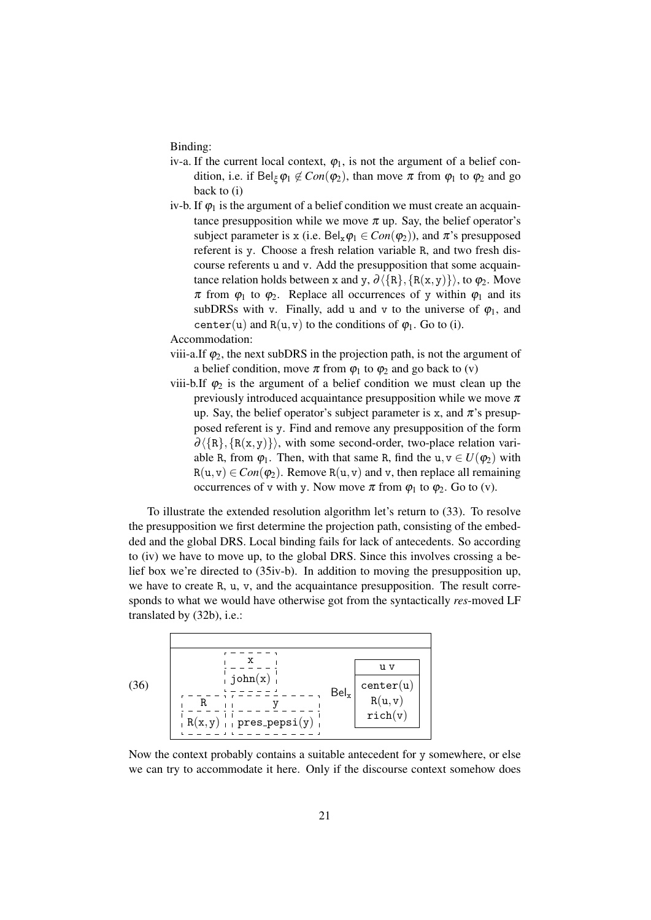Binding:

- iv-a. If the current local context,  $\varphi_1$ , is not the argument of a belief condition, i.e. if Bel<sub> $\epsilon \varphi_1 \notin Con(\varphi_2)$ , than move  $\pi$  from  $\varphi_1$  to  $\varphi_2$  and go</sub> back to (i)
- iv-b. If  $\varphi_1$  is the argument of a belief condition we must create an acquaintance presupposition while we move  $\pi$  up. Say, the belief operator's subject parameter is x (i.e. Bel<sub>x</sub> $\varphi_1 \in Con(\varphi_2)$ ), and  $\pi$ 's presupposed referent is y. Choose a fresh relation variable R, and two fresh discourse referents u and v. Add the presupposition that some acquaintance relation holds between x and y,  $\partial \langle \{R\}, \{R(x, y)\}\rangle$ , to  $\varphi_2$ . Move  $\pi$  from  $\varphi_1$  to  $\varphi_2$ . Replace all occurrences of y within  $\varphi_1$  and its subDRSs with v. Finally, add u and v to the universe of  $\varphi_1$ , and center(u) and  $R(u, v)$  to the conditions of  $\varphi_1$ . Go to (i).

Accommodation:

- viii-a.If  $\varphi_2$ , the next subDRS in the projection path, is not the argument of a belief condition, move  $\pi$  from  $\varphi_1$  to  $\varphi_2$  and go back to (v)
- viii-b.If  $\varphi_2$  is the argument of a belief condition we must clean up the previously introduced acquaintance presupposition while we move  $\pi$ up. Say, the belief operator's subject parameter is x, and  $\pi$ 's presupposed referent is y. Find and remove any presupposition of the form  $\partial \langle \{R\}, \{R(x, y)\}\rangle$ , with some second-order, two-place relation variable R, from  $\varphi_1$ . Then, with that same R, find the u,  $v \in U(\varphi_2)$  with  $R(u, v) \in Con(\varphi_2)$ . Remove  $R(u, v)$  and v, then replace all remaining occurrences of v with y. Now move  $\pi$  from  $\varphi_1$  to  $\varphi_2$ . Go to (v).

To illustrate the extended resolution algorithm let's return to (33). To resolve the presupposition we first determine the projection path, consisting of the embedded and the global DRS. Local binding fails for lack of antecedents. So according to (iv) we have to move up, to the global DRS. Since this involves crossing a belief box we're directed to (35iv-b). In addition to moving the presupposition up, we have to create R, u, v, and the acquaintance presupposition. The result corresponds to what we would have otherwise got from the syntactically *res*-moved LF translated by (32b), i.e.:

| (36) |  |    |
|------|--|----|
|      |  | R. |

| john(x)<br>R.<br>$R(x,y)$ pres_pepsi(y) | Bel <sub>x</sub> | u v<br>$\begin{array}{c} \mathtt{center(u)} \\ \mathtt{R(u,v)} \end{array}$<br>rich(v) |
|-----------------------------------------|------------------|----------------------------------------------------------------------------------------|
|-----------------------------------------|------------------|----------------------------------------------------------------------------------------|

Now the context probably contains a suitable antecedent for y somewhere, or else we can try to accommodate it here. Only if the discourse context somehow does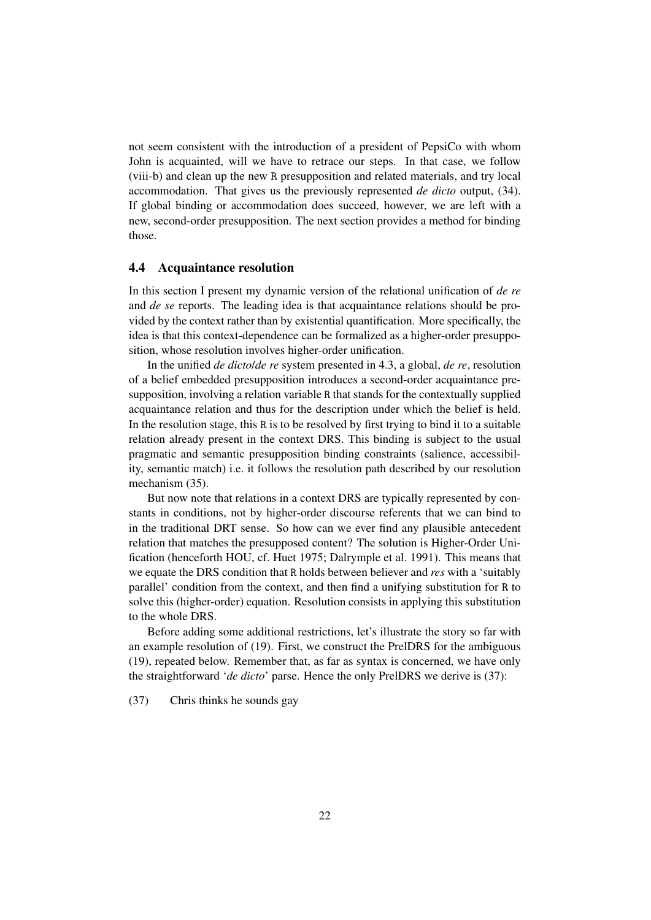not seem consistent with the introduction of a president of PepsiCo with whom John is acquainted, will we have to retrace our steps. In that case, we follow (viii-b) and clean up the new R presupposition and related materials, and try local accommodation. That gives us the previously represented *de dicto* output, (34). If global binding or accommodation does succeed, however, we are left with a new, second-order presupposition. The next section provides a method for binding those.

#### 4.4 Acquaintance resolution

In this section I present my dynamic version of the relational unification of *de re* and *de se* reports. The leading idea is that acquaintance relations should be provided by the context rather than by existential quantification. More specifically, the idea is that this context-dependence can be formalized as a higher-order presupposition, whose resolution involves higher-order unification.

In the unified *de dicto*/*de re* system presented in 4.3, a global, *de re*, resolution of a belief embedded presupposition introduces a second-order acquaintance presupposition, involving a relation variable R that stands for the contextually supplied acquaintance relation and thus for the description under which the belief is held. In the resolution stage, this R is to be resolved by first trying to bind it to a suitable relation already present in the context DRS. This binding is subject to the usual pragmatic and semantic presupposition binding constraints (salience, accessibility, semantic match) i.e. it follows the resolution path described by our resolution mechanism (35).

But now note that relations in a context DRS are typically represented by constants in conditions, not by higher-order discourse referents that we can bind to in the traditional DRT sense. So how can we ever find any plausible antecedent relation that matches the presupposed content? The solution is Higher-Order Unification (henceforth HOU, cf. Huet 1975; Dalrymple et al. 1991). This means that we equate the DRS condition that R holds between believer and *res* with a 'suitably parallel' condition from the context, and then find a unifying substitution for R to solve this (higher-order) equation. Resolution consists in applying this substitution to the whole DRS.

Before adding some additional restrictions, let's illustrate the story so far with an example resolution of (19). First, we construct the PrelDRS for the ambiguous (19), repeated below. Remember that, as far as syntax is concerned, we have only the straightforward '*de dicto*' parse. Hence the only PrelDRS we derive is (37):

(37) Chris thinks he sounds gay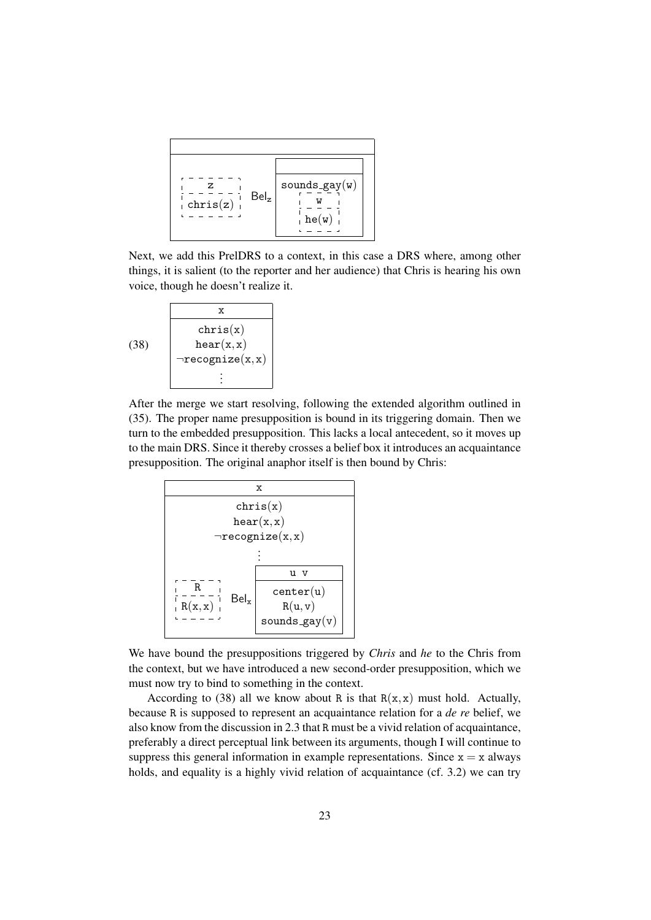| $\texttt{chris(z)}$ | Bel <sub>z</sub> | $sounds_gay(w)$<br>W<br>he(w) |
|---------------------|------------------|-------------------------------|

Next, we add this PrelDRS to a context, in this case a DRS where, among other things, it is salient (to the reporter and her audience) that Chris is hearing his own voice, though he doesn't realize it.

|      | chris(x)                       |
|------|--------------------------------|
| (38) | hear(x, x)                     |
|      | $\neg \texttt{recognize(x,x)}$ |
|      |                                |

After the merge we start resolving, following the extended algorithm outlined in (35). The proper name presupposition is bound in its triggering domain. Then we turn to the embedded presupposition. This lacks a local antecedent, so it moves up to the main DRS. Since it thereby crosses a belief box it introduces an acquaintance presupposition. The original anaphor itself is then bound by Chris:



We have bound the presuppositions triggered by *Chris* and *he* to the Chris from the context, but we have introduced a new second-order presupposition, which we must now try to bind to something in the context.

According to (38) all we know about R is that  $R(x, x)$  must hold. Actually, because R is supposed to represent an acquaintance relation for a *de re* belief, we also know from the discussion in 2.3 that R must be a vivid relation of acquaintance, preferably a direct perceptual link between its arguments, though I will continue to suppress this general information in example representations. Since  $x = x$  always holds, and equality is a highly vivid relation of acquaintance (cf. 3.2) we can try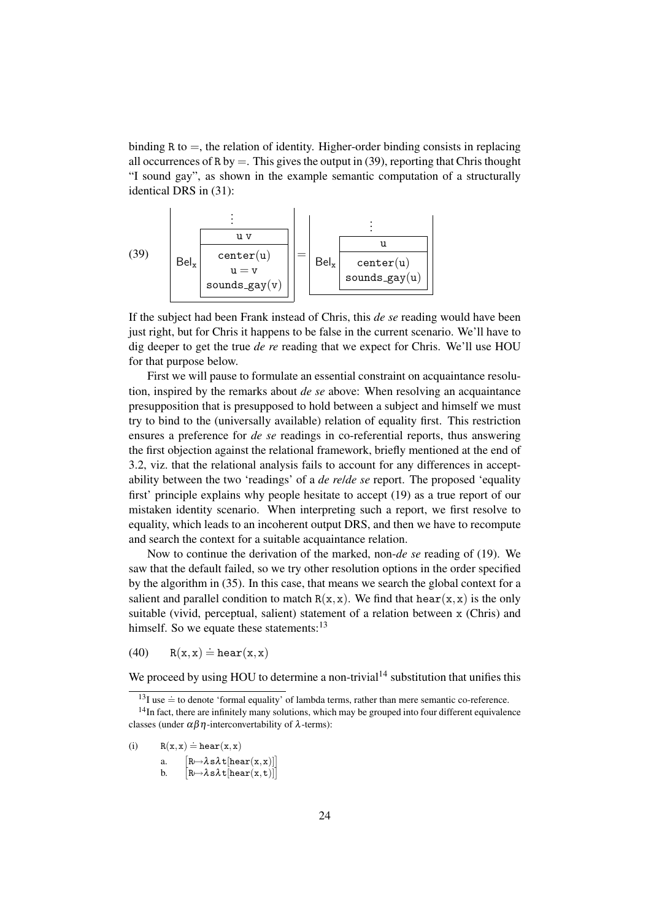binding R to  $=$ , the relation of identity. Higher-order binding consists in replacing all occurrences of R by  $=$ . This gives the output in (39), reporting that Chris thought "I sound gay", as shown in the example semantic computation of a structurally identical DRS in (31):



If the subject had been Frank instead of Chris, this *de se* reading would have been just right, but for Chris it happens to be false in the current scenario. We'll have to dig deeper to get the true *de re* reading that we expect for Chris. We'll use HOU for that purpose below.

First we will pause to formulate an essential constraint on acquaintance resolution, inspired by the remarks about *de se* above: When resolving an acquaintance presupposition that is presupposed to hold between a subject and himself we must try to bind to the (universally available) relation of equality first. This restriction ensures a preference for *de se* readings in co-referential reports, thus answering the first objection against the relational framework, briefly mentioned at the end of 3.2, viz. that the relational analysis fails to account for any differences in acceptability between the two 'readings' of a *de re*/*de se* report. The proposed 'equality first' principle explains why people hesitate to accept (19) as a true report of our mistaken identity scenario. When interpreting such a report, we first resolve to equality, which leads to an incoherent output DRS, and then we have to recompute and search the context for a suitable acquaintance relation.

Now to continue the derivation of the marked, non-*de se* reading of (19). We saw that the default failed, so we try other resolution options in the order specified by the algorithm in (35). In this case, that means we search the global context for a salient and parallel condition to match  $R(x, x)$ . We find that hear $(x, x)$  is the only suitable (vivid, perceptual, salient) statement of a relation between x (Chris) and himself. So we equate these statements:<sup>13</sup>

(40)  $R(x,x) \doteq hear(x,x)$ 

We proceed by using HOU to determine a non-trivial  $14$  substitution that unifies this

(i)  $R(x,x) \doteq hear(x,x)$ 

 $<sub>b</sub>$ .</sub>  $\mathtt{R}\!\!\mapsto\!\!\lambda\,\mathtt{s}\lambda\mathtt{t}[\mathtt{hear}(\mathtt{x},\mathtt{t})]\big]$ 

 $^{13}$ I use  $\dot{=}$  to denote 'formal equality' of lambda terms, rather than mere semantic co-reference.

<sup>&</sup>lt;sup>14</sup>In fact, there are infinitely many solutions, which may be grouped into four different equivalence classes (under  $\alpha\beta\eta$ -interconvertability of  $\lambda$ -terms):

a. - $\mathtt{R}\!\!\mapsto\!\!\lambda\,\mathtt{s}\lambda\mathtt{t}[\mathtt{hear}(\mathtt{x},\mathtt{x})]\big]$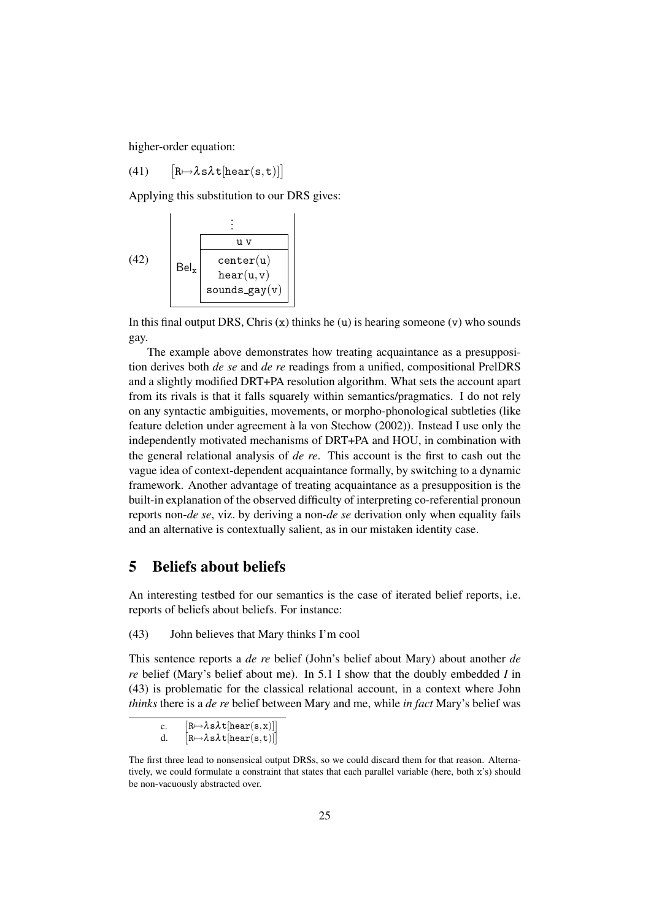higher-order equation:

(41) 
$$
\left[ R \mapsto \lambda s \lambda t [\text{hear}(s, t)] \right]
$$

Applying this substitution to our DRS gives:

(42)  
\n
$$
\begin{array}{c|c}\n & \vdots \\
 & \downarrow v \\
\hline\n\text{Eel}_x & \text{center(u)} \\
 & \downarrow \text{near(u, v)} \\
\text{sounds\_gay(v)}\n\end{array}
$$

In this final output DRS, Chris  $(x)$  thinks he  $(u)$  is hearing someone  $(v)$  who sounds gay.

The example above demonstrates how treating acquaintance as a presupposition derives both *de se* and *de re* readings from a unified, compositional PrelDRS and a slightly modified DRT+PA resolution algorithm. What sets the account apart from its rivals is that it falls squarely within semantics/pragmatics. I do not rely on any syntactic ambiguities, movements, or morpho-phonological subtleties (like feature deletion under agreement à la von Stechow (2002)). Instead I use only the independently motivated mechanisms of DRT+PA and HOU, in combination with the general relational analysis of *de re*. This account is the first to cash out the vague idea of context-dependent acquaintance formally, by switching to a dynamic framework. Another advantage of treating acquaintance as a presupposition is the built-in explanation of the observed difficulty of interpreting co-referential pronoun reports non-*de se*, viz. by deriving a non-*de se* derivation only when equality fails and an alternative is contextually salient, as in our mistaken identity case.

# 5 Beliefs about beliefs

An interesting testbed for our semantics is the case of iterated belief reports, i.e. reports of beliefs about beliefs. For instance:

(43) John believes that Mary thinks I'm cool

This sentence reports a *de re* belief (John's belief about Mary) about another *de re* belief (Mary's belief about me). In 5.1 I show that the doubly embedded *I* in (43) is problematic for the classical relational account, in a context where John *thinks* there is a *de re* belief between Mary and me, while *in fact* Mary's belief was

```
c.
                               \mathtt{R}\!\!\mapsto\!\!\lambda\,\mathtt{s}\lambda\mathtt{t}[\mathtt{hear}(\mathtt{s},\mathtt{x})]\big]d.
                               \mathtt{R}\!\!\mapsto\!\!\lambda\,\mathtt{s}\lambda\mathtt{t}[\mathtt{hear}(\mathtt{s},\mathtt{t})]\big]
```
The first three lead to nonsensical output DRSs, so we could discard them for that reason. Alternatively, we could formulate a constraint that states that each parallel variable (here, both x's) should be non-vacuously abstracted over.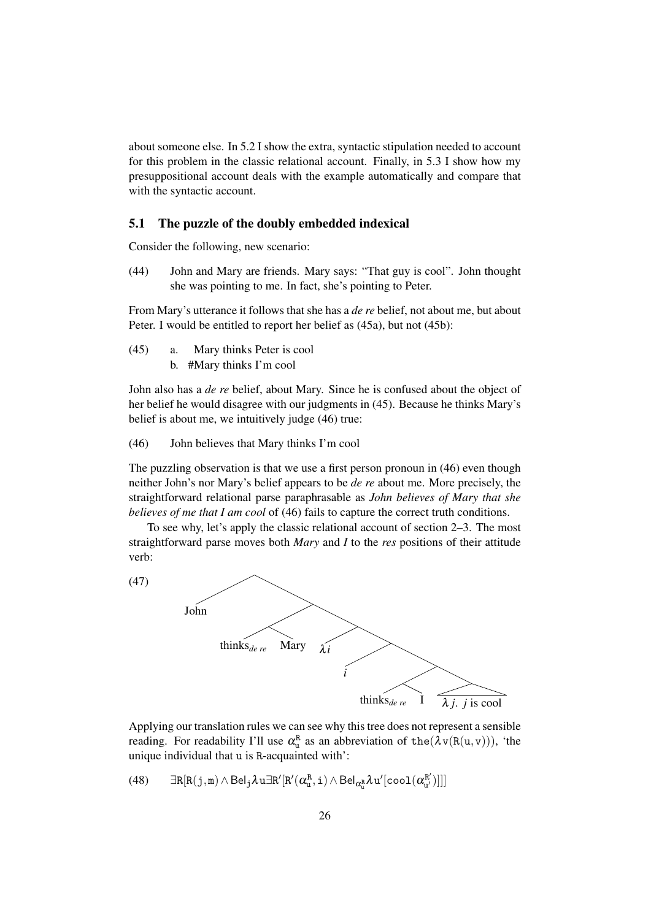about someone else. In 5.2 I show the extra, syntactic stipulation needed to account for this problem in the classic relational account. Finally, in 5.3 I show how my presuppositional account deals with the example automatically and compare that with the syntactic account.

#### 5.1 The puzzle of the doubly embedded indexical

Consider the following, new scenario:

(44) John and Mary are friends. Mary says: "That guy is cool". John thought she was pointing to me. In fact, she's pointing to Peter.

From Mary's utterance it follows that she has a *de re* belief, not about me, but about Peter. I would be entitled to report her belief as (45a), but not (45b):

(45) a. Mary thinks Peter is cool b. #Mary thinks I'm cool

John also has a *de re* belief, about Mary. Since he is confused about the object of her belief he would disagree with our judgments in (45). Because he thinks Mary's belief is about me, we intuitively judge (46) true:

(46) John believes that Mary thinks I'm cool

The puzzling observation is that we use a first person pronoun in (46) even though neither John's nor Mary's belief appears to be *de re* about me. More precisely, the straightforward relational parse paraphrasable as *John believes of Mary that she believes of me that I am cool* of (46) fails to capture the correct truth conditions.

To see why, let's apply the classic relational account of section 2–3. The most straightforward parse moves both *Mary* and *I* to the *res* positions of their attitude verb:



Applying our translation rules we can see why this tree does not represent a sensible reading. For readability I'll use  $\alpha_u^R$  as an abbreviation of the $(\lambda v(R(u, v)))$ , 'the unique individual that u is R-acquainted with':

$$
(48)\qquad \exists R[R(j,m)\wedge Bel_{j}\lambda u\exists R'[R'(\alpha_{u}^{R},i)\wedge Bel_{\alpha_{u}^{R}}\lambda u'[{\sf cool}(\alpha_{u'}^{R'})]]]
$$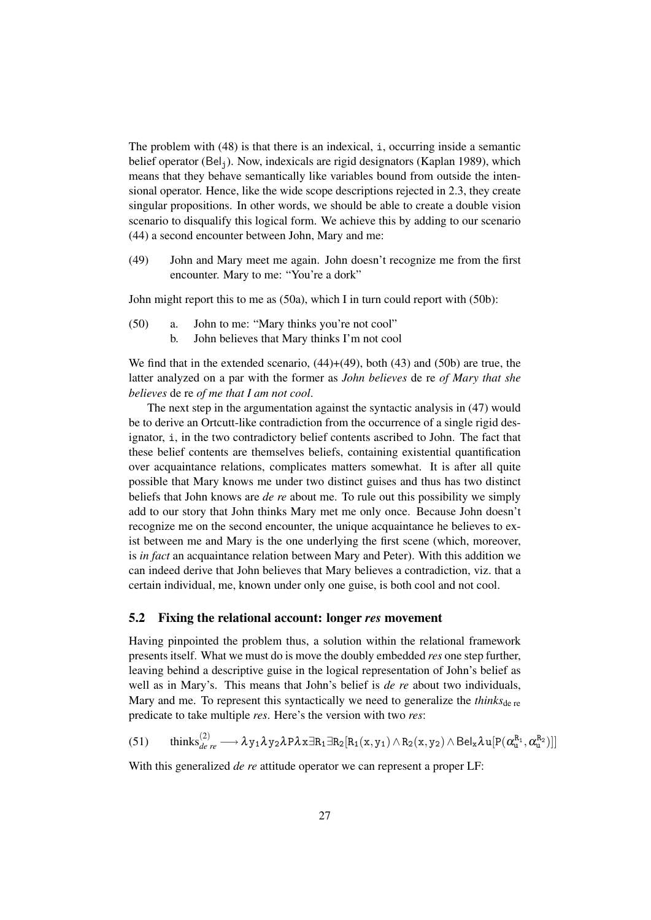The problem with (48) is that there is an indexical, i, occurring inside a semantic belief operator ( $Bel<sub>i</sub>$ ). Now, indexicals are rigid designators (Kaplan 1989), which means that they behave semantically like variables bound from outside the intensional operator. Hence, like the wide scope descriptions rejected in 2.3, they create singular propositions. In other words, we should be able to create a double vision scenario to disqualify this logical form. We achieve this by adding to our scenario (44) a second encounter between John, Mary and me:

(49) John and Mary meet me again. John doesn't recognize me from the first encounter. Mary to me: "You're a dork"

John might report this to me as (50a), which I in turn could report with (50b):

- (50) a. John to me: "Mary thinks you're not cool"
	- b. John believes that Mary thinks I'm not cool

We find that in the extended scenario,  $(44)+(49)$ , both  $(43)$  and  $(50b)$  are true, the latter analyzed on a par with the former as *John believes* de re *of Mary that she believes* de re *of me that I am not cool*.

The next step in the argumentation against the syntactic analysis in (47) would be to derive an Ortcutt-like contradiction from the occurrence of a single rigid designator, i, in the two contradictory belief contents ascribed to John. The fact that these belief contents are themselves beliefs, containing existential quantification over acquaintance relations, complicates matters somewhat. It is after all quite possible that Mary knows me under two distinct guises and thus has two distinct beliefs that John knows are *de re* about me. To rule out this possibility we simply add to our story that John thinks Mary met me only once. Because John doesn't recognize me on the second encounter, the unique acquaintance he believes to exist between me and Mary is the one underlying the first scene (which, moreover, is *in fact* an acquaintance relation between Mary and Peter). With this addition we can indeed derive that John believes that Mary believes a contradiction, viz. that a certain individual, me, known under only one guise, is both cool and not cool.

#### 5.2 Fixing the relational account: longer *res* movement

Having pinpointed the problem thus, a solution within the relational framework presents itself. What we must do is move the doubly embedded *res* one step further, leaving behind a descriptive guise in the logical representation of John's belief as well as in Mary's. This means that John's belief is *de re* about two individuals, Mary and me. To represent this syntactically we need to generalize the *thinks* $_{\text{de re}}$ predicate to take multiple *res*. Here's the version with two *res*:

$$
(51)\qquad \text{think}_{{\text{S}}_{\text{de}}^{(2)}\text{re}}\longrightarrow \lambda y_1\lambda y_2\lambda P\lambda x\exists R_1\exists R_2[R_1(x,y_1)\wedge R_2(x,y_2)\wedge \text{Bel}_x\lambda u[P(\alpha_u^{R_1},\alpha_u^{R_2})]]
$$

With this generalized *de re* attitude operator we can represent a proper LF: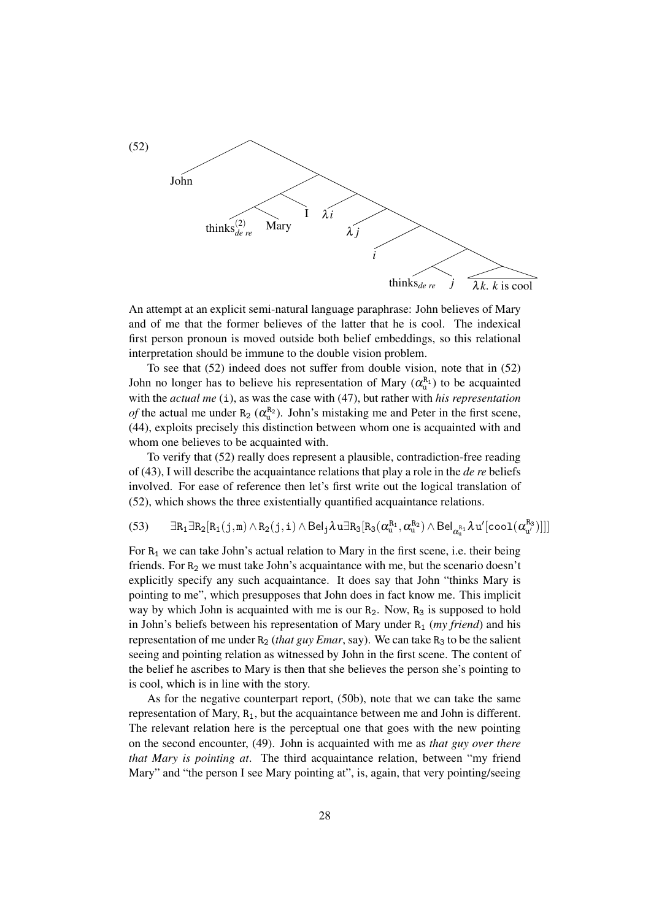

An attempt at an explicit semi-natural language paraphrase: John believes of Mary and of me that the former believes of the latter that he is cool. The indexical first person pronoun is moved outside both belief embeddings, so this relational interpretation should be immune to the double vision problem.

To see that (52) indeed does not suffer from double vision, note that in (52) John no longer has to believe his representation of Mary  $(\alpha_u^{\{R_1\}})$  to be acquainted with the *actual me* (i), as was the case with (47), but rather with *his representation of* the actual me under  $R_2$  ( $\alpha_u^{R_2}$ ). John's mistaking me and Peter in the first scene, (44), exploits precisely this distinction between whom one is acquainted with and whom one believes to be acquainted with.

To verify that (52) really does represent a plausible, contradiction-free reading of (43), I will describe the acquaintance relations that play a role in the *de re* beliefs involved. For ease of reference then let's first write out the logical translation of (52), which shows the three existentially quantified acquaintance relations.

 $(53) \qquad \exists R_1 \exists R_2 [R_1(j,m) \land R_2(j,i) \land Bel_j \lambda u \exists R_3 [R_3(\alpha_u^{R_1}, \alpha_u^{R_2}) \land Bel_{\alpha_u^{R_1}} \lambda u'[{\sf cool}(\alpha_{u'}^{R_3})]]]$ 

For  $R_1$  we can take John's actual relation to Mary in the first scene, i.e. their being friends. For  $R_2$  we must take John's acquaintance with me, but the scenario doesn't explicitly specify any such acquaintance. It does say that John "thinks Mary is pointing to me", which presupposes that John does in fact know me. This implicit way by which John is acquainted with me is our  $R_2$ . Now,  $R_3$  is supposed to hold in John's beliefs between his representation of Mary under R<sub>1</sub> (*my friend*) and his representation of me under  $R_2$  (*that guy Emar*, say). We can take  $R_3$  to be the salient seeing and pointing relation as witnessed by John in the first scene. The content of the belief he ascribes to Mary is then that she believes the person she's pointing to is cool, which is in line with the story.

As for the negative counterpart report, (50b), note that we can take the same representation of Mary,  $R_1$ , but the acquaintance between me and John is different. The relevant relation here is the perceptual one that goes with the new pointing on the second encounter, (49). John is acquainted with me as *that guy over there that Mary is pointing at*. The third acquaintance relation, between "my friend Mary" and "the person I see Mary pointing at", is, again, that very pointing/seeing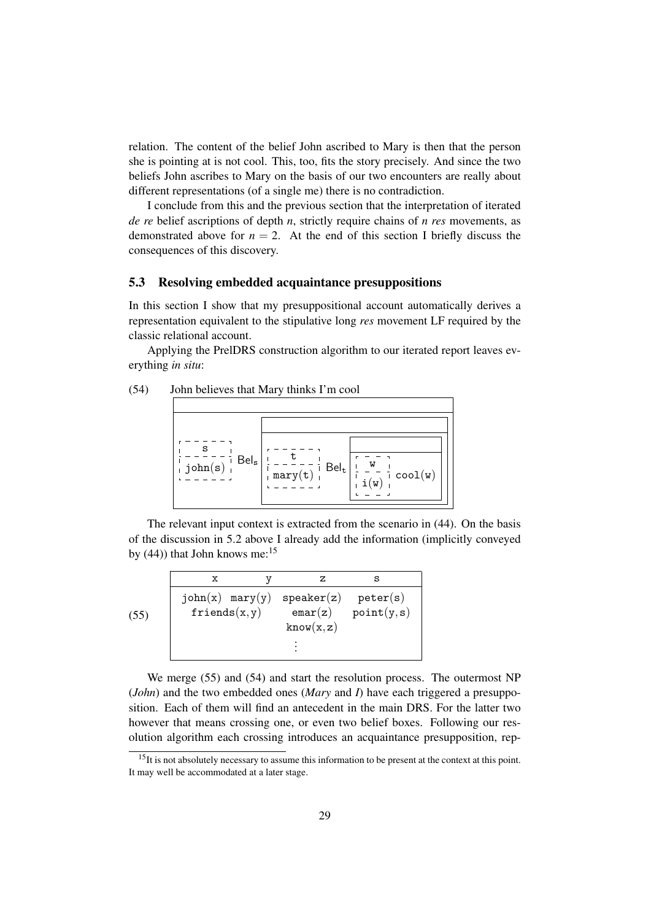relation. The content of the belief John ascribed to Mary is then that the person she is pointing at is not cool. This, too, fits the story precisely. And since the two beliefs John ascribes to Mary on the basis of our two encounters are really about different representations (of a single me) there is no contradiction.

I conclude from this and the previous section that the interpretation of iterated *de re* belief ascriptions of depth *n*, strictly require chains of *n res* movements, as demonstrated above for  $n = 2$ . At the end of this section I briefly discuss the consequences of this discovery.

#### 5.3 Resolving embedded acquaintance presuppositions

In this section I show that my presuppositional account automatically derives a representation equivalent to the stipulative long *res* movement LF required by the classic relational account.

Applying the PrelDRS construction algorithm to our iterated report leaves everything *in situ*:

(54) John believes that Mary thinks I'm cool

s john(s) Bel<sup>s</sup> t mary(t) Bel<sup>t</sup> w i(w) cool(w)

The relevant input context is extracted from the scenario in (44). On the basis of the discussion in 5.2 above I already add the information (implicitly conveyed by (44)) that John knows me:<sup>15</sup>

(55) x y z s  $john(x)$  mary $(y)$  $friends(x,y)$  $shear(z)$  $emar(z)$  $know(x, z)$ peter(s)  $point(y,s)$ . . .

We merge (55) and (54) and start the resolution process. The outermost NP (*John*) and the two embedded ones (*Mary* and *I*) have each triggered a presupposition. Each of them will find an antecedent in the main DRS. For the latter two however that means crossing one, or even two belief boxes. Following our resolution algorithm each crossing introduces an acquaintance presupposition, rep-

<sup>&</sup>lt;sup>15</sup>It is not absolutely necessary to assume this information to be present at the context at this point. It may well be accommodated at a later stage.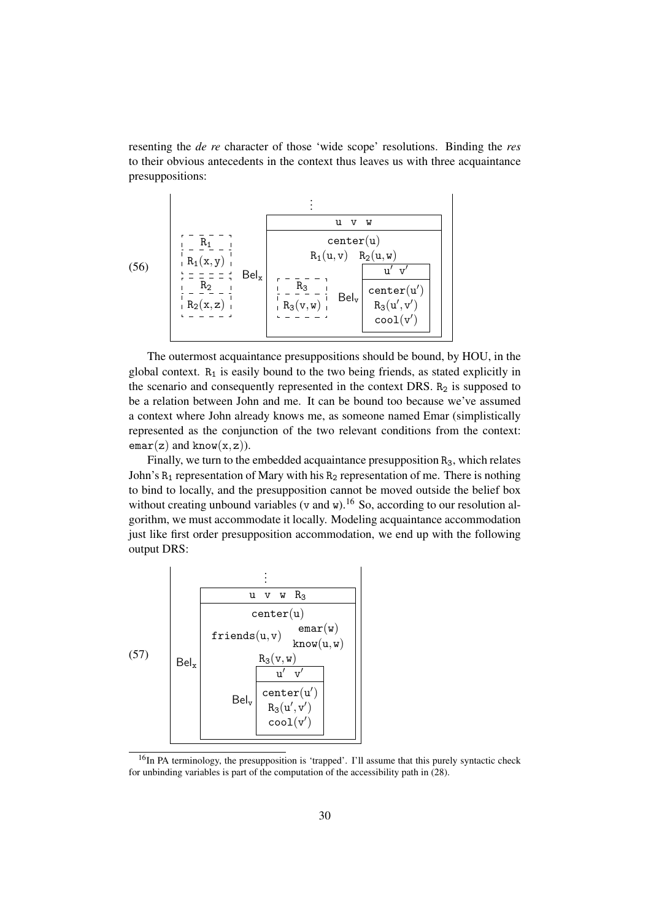resenting the *de re* character of those 'wide scope' resolutions. Binding the *res* to their obvious antecedents in the context thus leaves us with three acquaintance presuppositions:

(56) . . . R1 R1(x,y) R2 R2(x,z) Bel<sup>x</sup> u v w center(u) R1(u,v) R2(u,w) R3 R3(v,w) Bel<sup>v</sup> u <sup>0</sup> v 0 center(u 0 ) R3(u 0 ,v 0 ) cool(v 0 )

The outermost acquaintance presuppositions should be bound, by HOU, in the global context.  $R_1$  is easily bound to the two being friends, as stated explicitly in the scenario and consequently represented in the context DRS.  $R_2$  is supposed to be a relation between John and me. It can be bound too because we've assumed a context where John already knows me, as someone named Emar (simplistically represented as the conjunction of the two relevant conditions from the context:  $emar(z)$  and know $(x, z)$ ).

Finally, we turn to the embedded acquaintance presupposition  $R_3$ , which relates John's  $R_1$  representation of Mary with his  $R_2$  representation of me. There is nothing to bind to locally, and the presupposition cannot be moved outside the belief box without creating unbound variables (v and w).<sup>16</sup> So, according to our resolution algorithm, we must accommodate it locally. Modeling acquaintance accommodation just like first order presupposition accommodation, we end up with the following output DRS:

(57) . . . Bel<sup>x</sup> u v w R<sup>3</sup> center(u) friends(u,v) emar(w) know(u,w) R3(v,w) Bel<sup>v</sup> u <sup>0</sup> v 0 center(u 0 ) R3(u 0 ,v 0 ) cool(v 0 )

<sup>&</sup>lt;sup>16</sup>In PA terminology, the presupposition is 'trapped'. I'll assume that this purely syntactic check for unbinding variables is part of the computation of the accessibility path in (28).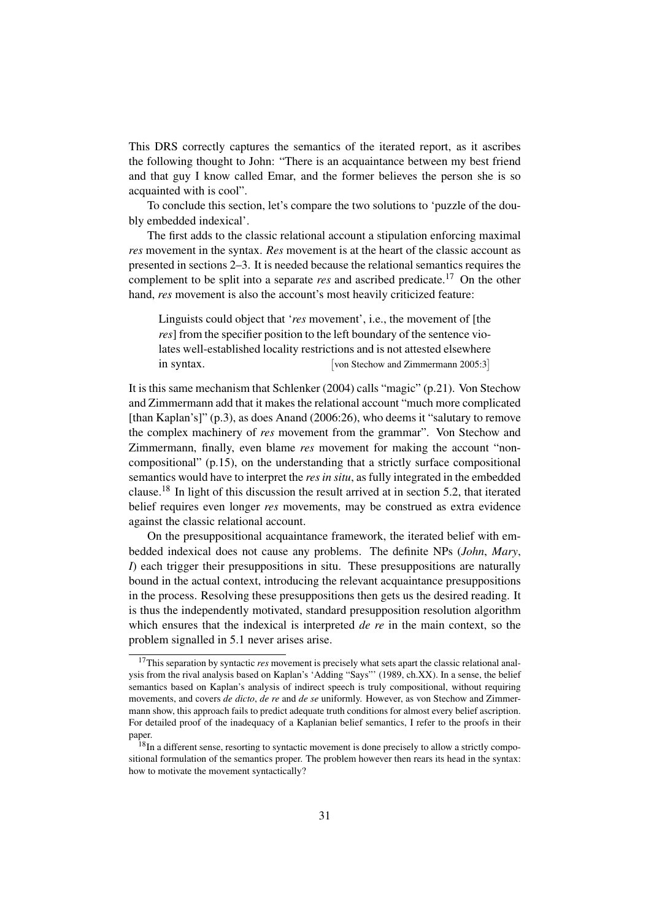This DRS correctly captures the semantics of the iterated report, as it ascribes the following thought to John: "There is an acquaintance between my best friend and that guy I know called Emar, and the former believes the person she is so acquainted with is cool".

To conclude this section, let's compare the two solutions to 'puzzle of the doubly embedded indexical'.

The first adds to the classic relational account a stipulation enforcing maximal *res* movement in the syntax. *Res* movement is at the heart of the classic account as presented in sections 2–3. It is needed because the relational semantics requires the complement to be split into a separate *res* and ascribed predicate.<sup>17</sup> On the other hand, *res* movement is also the account's most heavily criticized feature:

Linguists could object that '*res* movement', i.e., the movement of [the *res*] from the specifier position to the left boundary of the sentence violates well-established locality restrictions and is not attested elsewhere in syntax. von Stechow and Zimmermann 2005:3

It is this same mechanism that Schlenker (2004) calls "magic" (p.21). Von Stechow and Zimmermann add that it makes the relational account "much more complicated [than Kaplan's]" (p.3), as does Anand (2006:26), who deems it "salutary to remove the complex machinery of *res* movement from the grammar". Von Stechow and Zimmermann, finally, even blame *res* movement for making the account "noncompositional" (p.15), on the understanding that a strictly surface compositional semantics would have to interpret the *res in situ*, as fully integrated in the embedded clause.<sup>18</sup> In light of this discussion the result arrived at in section 5.2, that iterated belief requires even longer *res* movements, may be construed as extra evidence against the classic relational account.

On the presuppositional acquaintance framework, the iterated belief with embedded indexical does not cause any problems. The definite NPs (*John*, *Mary*, *I*) each trigger their presuppositions in situ. These presuppositions are naturally bound in the actual context, introducing the relevant acquaintance presuppositions in the process. Resolving these presuppositions then gets us the desired reading. It is thus the independently motivated, standard presupposition resolution algorithm which ensures that the indexical is interpreted *de re* in the main context, so the problem signalled in 5.1 never arises arise.

<sup>&</sup>lt;sup>17</sup>This separation by syntactic *res* movement is precisely what sets apart the classic relational analysis from the rival analysis based on Kaplan's 'Adding "Says"' (1989, ch.XX). In a sense, the belief semantics based on Kaplan's analysis of indirect speech is truly compositional, without requiring movements, and covers *de dicto*, *de re* and *de se* uniformly. However, as von Stechow and Zimmermann show, this approach fails to predict adequate truth conditions for almost every belief ascription. For detailed proof of the inadequacy of a Kaplanian belief semantics, I refer to the proofs in their paper.

 $18$ In a different sense, resorting to syntactic movement is done precisely to allow a strictly compositional formulation of the semantics proper. The problem however then rears its head in the syntax: how to motivate the movement syntactically?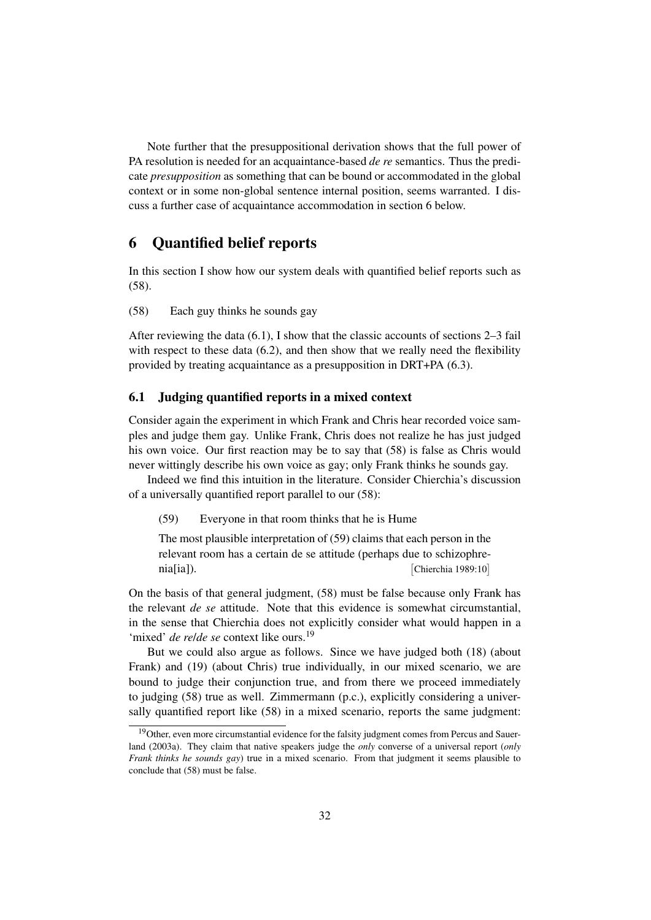Note further that the presuppositional derivation shows that the full power of PA resolution is needed for an acquaintance-based *de re* semantics. Thus the predicate *presupposition* as something that can be bound or accommodated in the global context or in some non-global sentence internal position, seems warranted. I discuss a further case of acquaintance accommodation in section 6 below.

# 6 Quantified belief reports

In this section I show how our system deals with quantified belief reports such as (58).

(58) Each guy thinks he sounds gay

After reviewing the data (6.1), I show that the classic accounts of sections 2–3 fail with respect to these data (6.2), and then show that we really need the flexibility provided by treating acquaintance as a presupposition in DRT+PA (6.3).

#### 6.1 Judging quantified reports in a mixed context

Consider again the experiment in which Frank and Chris hear recorded voice samples and judge them gay. Unlike Frank, Chris does not realize he has just judged his own voice. Our first reaction may be to say that (58) is false as Chris would never wittingly describe his own voice as gay; only Frank thinks he sounds gay.

Indeed we find this intuition in the literature. Consider Chierchia's discussion of a universally quantified report parallel to our (58):

(59) Everyone in that room thinks that he is Hume

The most plausible interpretation of (59) claims that each person in the relevant room has a certain de se attitude (perhaps due to schizophre $nia[ia]$ ). Chierchia 1989:10

On the basis of that general judgment, (58) must be false because only Frank has the relevant *de se* attitude. Note that this evidence is somewhat circumstantial, in the sense that Chierchia does not explicitly consider what would happen in a 'mixed' *de relde se* context like ours.<sup>19</sup>

But we could also argue as follows. Since we have judged both (18) (about Frank) and (19) (about Chris) true individually, in our mixed scenario, we are bound to judge their conjunction true, and from there we proceed immediately to judging (58) true as well. Zimmermann (p.c.), explicitly considering a universally quantified report like (58) in a mixed scenario, reports the same judgment:

<sup>&</sup>lt;sup>19</sup>Other, even more circumstantial evidence for the falsity judgment comes from Percus and Sauerland (2003a). They claim that native speakers judge the *only* converse of a universal report (*only Frank thinks he sounds gay*) true in a mixed scenario. From that judgment it seems plausible to conclude that (58) must be false.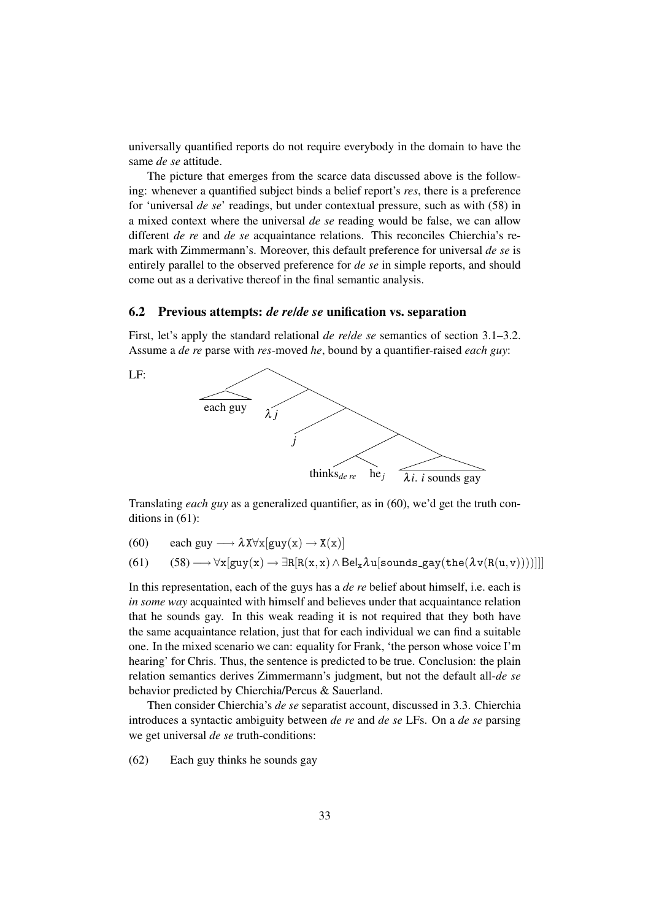universally quantified reports do not require everybody in the domain to have the same *de se* attitude.

The picture that emerges from the scarce data discussed above is the following: whenever a quantified subject binds a belief report's *res*, there is a preference for 'universal *de se*' readings, but under contextual pressure, such as with (58) in a mixed context where the universal *de se* reading would be false, we can allow different *de re* and *de se* acquaintance relations. This reconciles Chierchia's remark with Zimmermann's. Moreover, this default preference for universal *de se* is entirely parallel to the observed preference for *de se* in simple reports, and should come out as a derivative thereof in the final semantic analysis.

#### 6.2 Previous attempts: *de re*/*de se* unification vs. separation

First, let's apply the standard relational *de re*/*de se* semantics of section 3.1–3.2. Assume a *de re* parse with *res*-moved *he*, bound by a quantifier-raised *each guy*:



Translating *each guy* as a generalized quantifier, as in (60), we'd get the truth conditions in (61):

(60) each 
$$
\text{guy} \longrightarrow \lambda \text{X} \forall \text{x} [\text{guy}(\text{x}) \rightarrow \text{X}(\text{x})]
$$

LF:

$$
(61) \qquad (58)\longrightarrow \forall x [guy(x)\rightarrow \exists R [R(x,x)\wedge Bel_{x}\lambda u [sounds\_gay(the(\lambda v(R(u,v))))]]]
$$

In this representation, each of the guys has a *de re* belief about himself, i.e. each is *in some way* acquainted with himself and believes under that acquaintance relation that he sounds gay. In this weak reading it is not required that they both have the same acquaintance relation, just that for each individual we can find a suitable one. In the mixed scenario we can: equality for Frank, 'the person whose voice I'm hearing' for Chris. Thus, the sentence is predicted to be true. Conclusion: the plain relation semantics derives Zimmermann's judgment, but not the default all-*de se* behavior predicted by Chierchia/Percus & Sauerland.

Then consider Chierchia's *de se* separatist account, discussed in 3.3. Chierchia introduces a syntactic ambiguity between *de re* and *de se* LFs. On a *de se* parsing we get universal *de se* truth-conditions:

(62) Each guy thinks he sounds gay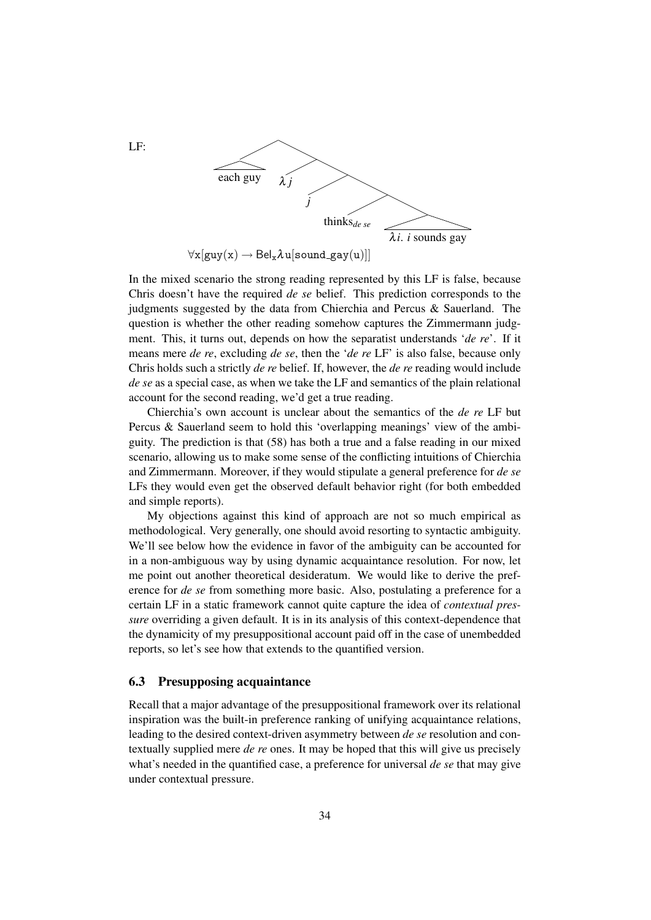

 $\forall x [guy(x) \rightarrow Bel_x \lambda u [sound\_gay(u)]]$ 

In the mixed scenario the strong reading represented by this LF is false, because Chris doesn't have the required *de se* belief. This prediction corresponds to the judgments suggested by the data from Chierchia and Percus & Sauerland. The question is whether the other reading somehow captures the Zimmermann judgment. This, it turns out, depends on how the separatist understands '*de re*'. If it means mere *de re*, excluding *de se*, then the '*de re* LF' is also false, because only Chris holds such a strictly *de re* belief. If, however, the *de re* reading would include *de se* as a special case, as when we take the LF and semantics of the plain relational account for the second reading, we'd get a true reading.

Chierchia's own account is unclear about the semantics of the *de re* LF but Percus & Sauerland seem to hold this 'overlapping meanings' view of the ambiguity. The prediction is that (58) has both a true and a false reading in our mixed scenario, allowing us to make some sense of the conflicting intuitions of Chierchia and Zimmermann. Moreover, if they would stipulate a general preference for *de se* LFs they would even get the observed default behavior right (for both embedded and simple reports).

My objections against this kind of approach are not so much empirical as methodological. Very generally, one should avoid resorting to syntactic ambiguity. We'll see below how the evidence in favor of the ambiguity can be accounted for in a non-ambiguous way by using dynamic acquaintance resolution. For now, let me point out another theoretical desideratum. We would like to derive the preference for *de se* from something more basic. Also, postulating a preference for a certain LF in a static framework cannot quite capture the idea of *contextual pressure* overriding a given default. It is in its analysis of this context-dependence that the dynamicity of my presuppositional account paid off in the case of unembedded reports, so let's see how that extends to the quantified version.

#### 6.3 Presupposing acquaintance

Recall that a major advantage of the presuppositional framework over its relational inspiration was the built-in preference ranking of unifying acquaintance relations, leading to the desired context-driven asymmetry between *de se* resolution and contextually supplied mere *de re* ones. It may be hoped that this will give us precisely what's needed in the quantified case, a preference for universal *de se* that may give under contextual pressure.

LF: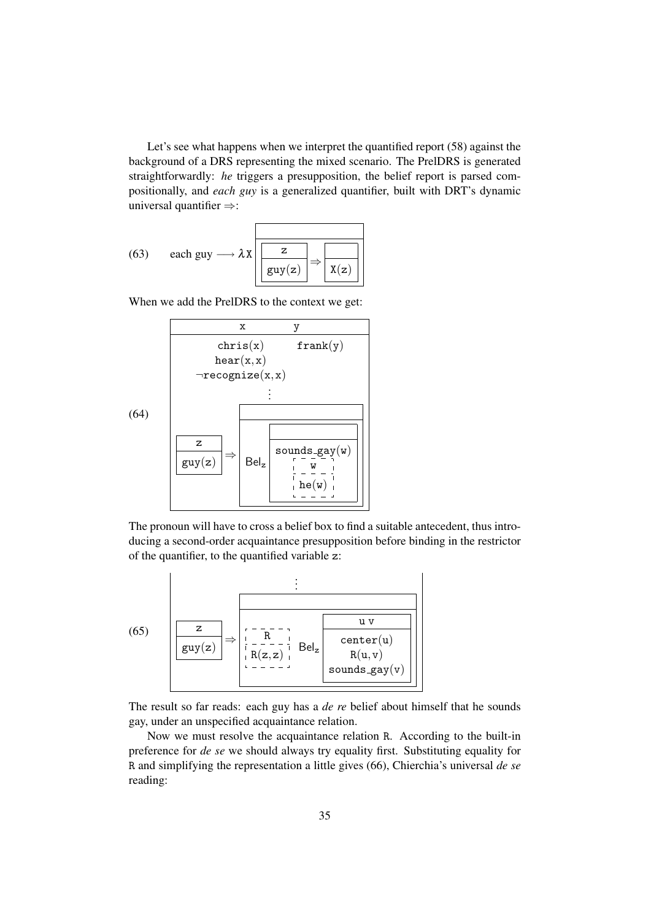Let's see what happens when we interpret the quantified report (58) against the background of a DRS representing the mixed scenario. The PrelDRS is generated straightforwardly: *he* triggers a presupposition, the belief report is parsed compositionally, and *each guy* is a generalized quantifier, built with DRT's dynamic universal quantifier ⇒:

(63) each guy 
$$
\longrightarrow \lambda x
$$
  $\boxed{z}$   $\boxed{guy(z)}$   $\Rightarrow$   $\boxed{x(z)}$ 

When we add the PrelDRS to the context we get:



The pronoun will have to cross a belief box to find a suitable antecedent, thus introducing a second-order acquaintance presupposition before binding in the restrictor of the quantifier, to the quantified variable z:



The result so far reads: each guy has a *de re* belief about himself that he sounds gay, under an unspecified acquaintance relation.

Now we must resolve the acquaintance relation R. According to the built-in preference for *de se* we should always try equality first. Substituting equality for R and simplifying the representation a little gives (66), Chierchia's universal *de se* reading: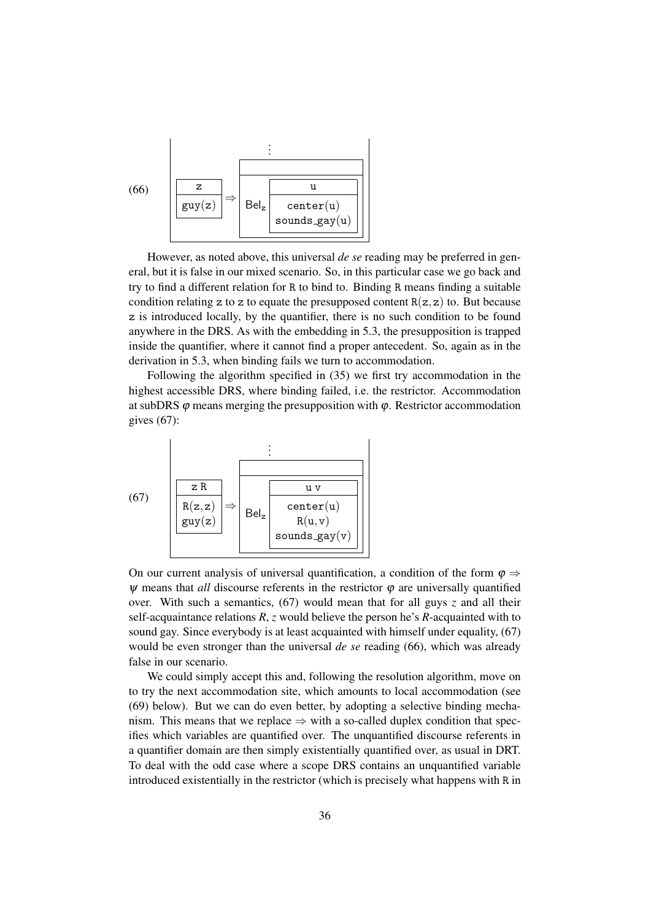

However, as noted above, this universal *de se* reading may be preferred in general, but it is false in our mixed scenario. So, in this particular case we go back and try to find a different relation for R to bind to. Binding R means finding a suitable condition relating z to z to equate the presupposed content  $R(z, z)$  to. But because z is introduced locally, by the quantifier, there is no such condition to be found anywhere in the DRS. As with the embedding in 5.3, the presupposition is trapped inside the quantifier, where it cannot find a proper antecedent. So, again as in the derivation in 5.3, when binding fails we turn to accommodation.

Following the algorithm specified in (35) we first try accommodation in the highest accessible DRS, where binding failed, i.e. the restrictor. Accommodation at subDRS  $\varphi$  means merging the presupposition with  $\varphi$ . Restrictor accommodation gives (67):



On our current analysis of universal quantification, a condition of the form  $\varphi \Rightarrow$  $\psi$  means that *all* discourse referents in the restrictor  $\varphi$  are universally quantified over. With such a semantics, (67) would mean that for all guys *z* and all their self-acquaintance relations *R*, *z* would believe the person he's *R*-acquainted with to sound gay. Since everybody is at least acquainted with himself under equality, (67) would be even stronger than the universal *de se* reading (66), which was already false in our scenario.

We could simply accept this and, following the resolution algorithm, move on to try the next accommodation site, which amounts to local accommodation (see (69) below). But we can do even better, by adopting a selective binding mechanism. This means that we replace  $\Rightarrow$  with a so-called duplex condition that specifies which variables are quantified over. The unquantified discourse referents in a quantifier domain are then simply existentially quantified over, as usual in DRT. To deal with the odd case where a scope DRS contains an unquantified variable introduced existentially in the restrictor (which is precisely what happens with R in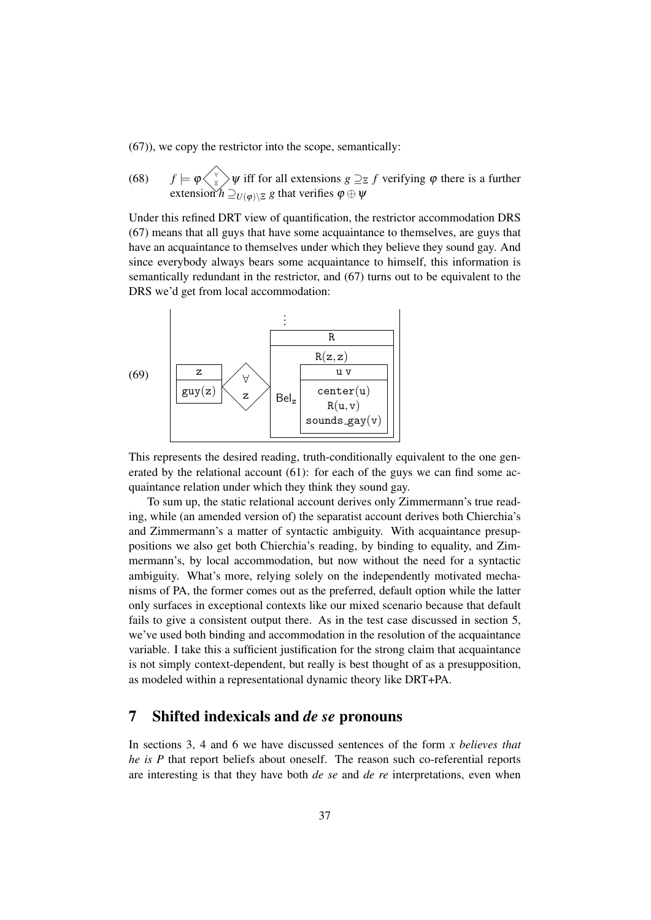(67)), we copy the restrictor into the scope, semantically:

(68)  $f \models \varphi \left\langle \frac{\forall}{\epsilon} \right\rangle \psi$  iff for all extensions  $g \supseteq_{\epsilon} f$  verifying  $\varphi$  there is a further extension  $h \supseteq_{U(\varphi)\setminus \Xi} g$  that verifies  $\varphi \oplus \psi$ 

Under this refined DRT view of quantification, the restrictor accommodation DRS (67) means that all guys that have some acquaintance to themselves, are guys that have an acquaintance to themselves under which they believe they sound gay. And since everybody always bears some acquaintance to himself, this information is semantically redundant in the restrictor, and (67) turns out to be equivalent to the DRS we'd get from local accommodation:



This represents the desired reading, truth-conditionally equivalent to the one generated by the relational account (61): for each of the guys we can find some acquaintance relation under which they think they sound gay.

To sum up, the static relational account derives only Zimmermann's true reading, while (an amended version of) the separatist account derives both Chierchia's and Zimmermann's a matter of syntactic ambiguity. With acquaintance presuppositions we also get both Chierchia's reading, by binding to equality, and Zimmermann's, by local accommodation, but now without the need for a syntactic ambiguity. What's more, relying solely on the independently motivated mechanisms of PA, the former comes out as the preferred, default option while the latter only surfaces in exceptional contexts like our mixed scenario because that default fails to give a consistent output there. As in the test case discussed in section 5, we've used both binding and accommodation in the resolution of the acquaintance variable. I take this a sufficient justification for the strong claim that acquaintance is not simply context-dependent, but really is best thought of as a presupposition, as modeled within a representational dynamic theory like DRT+PA.

# 7 Shifted indexicals and *de se* pronouns

In sections 3, 4 and 6 we have discussed sentences of the form *x believes that he is P* that report beliefs about oneself. The reason such co-referential reports are interesting is that they have both *de se* and *de re* interpretations, even when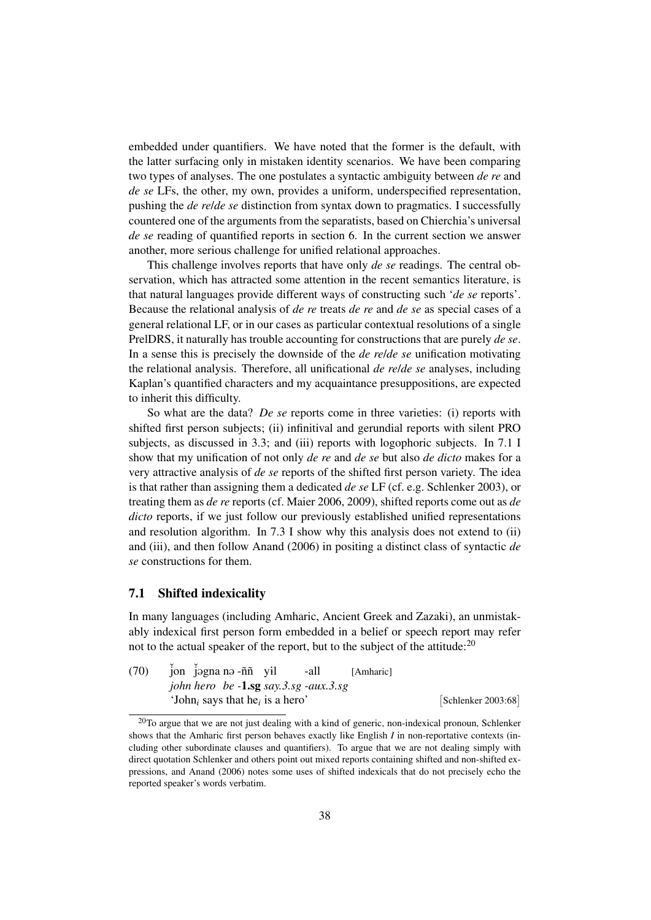embedded under quantifiers. We have noted that the former is the default, with the latter surfacing only in mistaken identity scenarios. We have been comparing two types of analyses. The one postulates a syntactic ambiguity between *de re* and *de se* LFs, the other, my own, provides a uniform, underspecified representation, pushing the *de re*/*de se* distinction from syntax down to pragmatics. I successfully countered one of the arguments from the separatists, based on Chierchia's universal *de se* reading of quantified reports in section 6. In the current section we answer another, more serious challenge for unified relational approaches.

This challenge involves reports that have only *de se* readings. The central observation, which has attracted some attention in the recent semantics literature, is that natural languages provide different ways of constructing such '*de se* reports'. Because the relational analysis of *de re* treats *de re* and *de se* as special cases of a general relational LF, or in our cases as particular contextual resolutions of a single PrelDRS, it naturally has trouble accounting for constructions that are purely *de se*. In a sense this is precisely the downside of the *de re*/*de se* unification motivating the relational analysis. Therefore, all unificational *de re*/*de se* analyses, including Kaplan's quantified characters and my acquaintance presuppositions, are expected to inherit this difficulty.

So what are the data? *De se* reports come in three varieties: (i) reports with shifted first person subjects; (ii) infinitival and gerundial reports with silent PRO subjects, as discussed in 3.3; and (iii) reports with logophoric subjects. In 7.1 I show that my unification of not only *de re* and *de se* but also *de dicto* makes for a very attractive analysis of *de se* reports of the shifted first person variety. The idea is that rather than assigning them a dedicated *de se* LF (cf. e.g. Schlenker 2003), or treating them as *de re* reports (cf. Maier 2006, 2009), shifted reports come out as *de dicto* reports, if we just follow our previously established unified representations and resolution algorithm. In 7.3 I show why this analysis does not extend to (ii) and (iii), and then follow Anand (2006) in positing a distinct class of syntactic *de se* constructions for them.

#### 7.1 Shifted indexicality

In many languages (including Amharic, Ancient Greek and Zazaki), an unmistakably indexical first person form embedded in a belief or speech report may refer not to the actual speaker of the report, but to the subject of the attitude: $^{20}$ 

| (70) | jon jəgna nə -ññ yil                                             | -all | [Amharic] |                     |
|------|------------------------------------------------------------------|------|-----------|---------------------|
|      | <i>john hero be</i> $-1$ <b>.sg</b> <i>say</i> .3.sg $-aux.3.sg$ |      |           |                     |
|      | 'John <sub>i</sub> says that he <sub>i</sub> is a hero'          |      |           | [Schlenker 2003:68] |

<sup>&</sup>lt;sup>20</sup>To argue that we are not just dealing with a kind of generic, non-indexical pronoun, Schlenker shows that the Amharic first person behaves exactly like English *I* in non-reportative contexts (including other subordinate clauses and quantifiers). To argue that we are not dealing simply with direct quotation Schlenker and others point out mixed reports containing shifted and non-shifted expressions, and Anand (2006) notes some uses of shifted indexicals that do not precisely echo the reported speaker's words verbatim.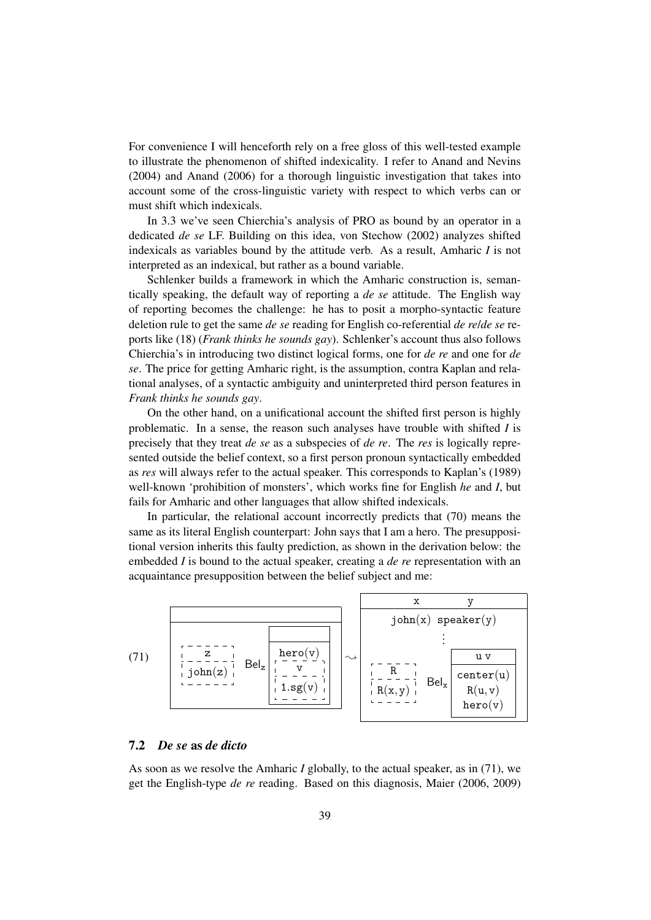For convenience I will henceforth rely on a free gloss of this well-tested example to illustrate the phenomenon of shifted indexicality. I refer to Anand and Nevins (2004) and Anand (2006) for a thorough linguistic investigation that takes into account some of the cross-linguistic variety with respect to which verbs can or must shift which indexicals.

In 3.3 we've seen Chierchia's analysis of PRO as bound by an operator in a dedicated *de se* LF. Building on this idea, von Stechow (2002) analyzes shifted indexicals as variables bound by the attitude verb. As a result, Amharic *I* is not interpreted as an indexical, but rather as a bound variable.

Schlenker builds a framework in which the Amharic construction is, semantically speaking, the default way of reporting a *de se* attitude. The English way of reporting becomes the challenge: he has to posit a morpho-syntactic feature deletion rule to get the same *de se* reading for English co-referential *de re*/*de se* reports like (18) (*Frank thinks he sounds gay*). Schlenker's account thus also follows Chierchia's in introducing two distinct logical forms, one for *de re* and one for *de se*. The price for getting Amharic right, is the assumption, contra Kaplan and relational analyses, of a syntactic ambiguity and uninterpreted third person features in *Frank thinks he sounds gay*.

On the other hand, on a unificational account the shifted first person is highly problematic. In a sense, the reason such analyses have trouble with shifted *I* is precisely that they treat *de se* as a subspecies of *de re*. The *res* is logically represented outside the belief context, so a first person pronoun syntactically embedded as *res* will always refer to the actual speaker. This corresponds to Kaplan's (1989) well-known 'prohibition of monsters', which works fine for English *he* and *I*, but fails for Amharic and other languages that allow shifted indexicals.

In particular, the relational account incorrectly predicts that (70) means the same as its literal English counterpart: John says that I am a hero. The presuppositional version inherits this faulty prediction, as shown in the derivation below: the embedded *I* is bound to the actual speaker, creating a *de re* representation with an acquaintance presupposition between the belief subject and me:



#### 7.2 *De se* as *de dicto*

As soon as we resolve the Amharic *I* globally, to the actual speaker, as in (71), we get the English-type *de re* reading. Based on this diagnosis, Maier (2006, 2009)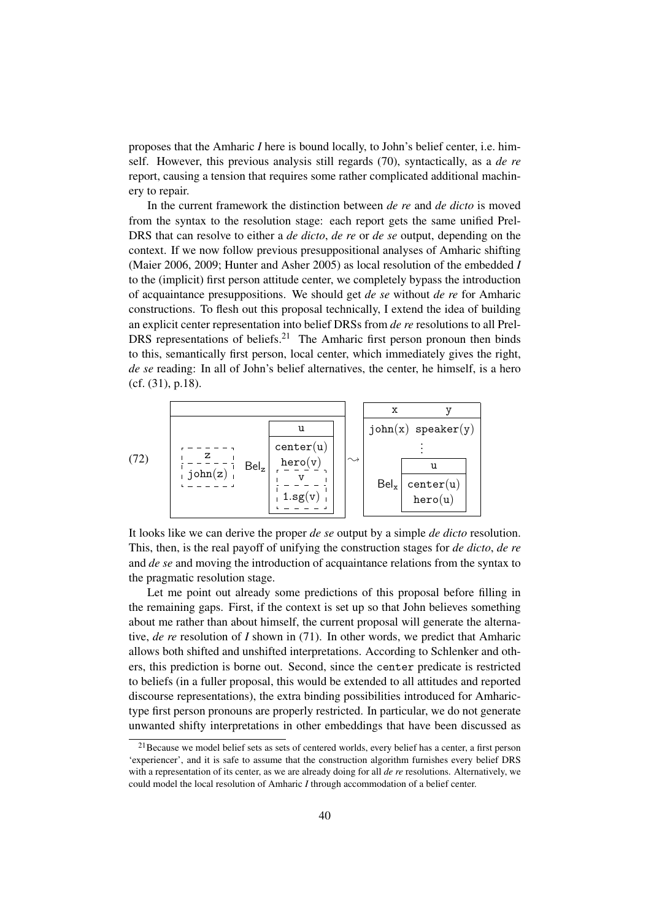proposes that the Amharic *I* here is bound locally, to John's belief center, i.e. himself. However, this previous analysis still regards (70), syntactically, as a *de re* report, causing a tension that requires some rather complicated additional machinery to repair.

In the current framework the distinction between *de re* and *de dicto* is moved from the syntax to the resolution stage: each report gets the same unified Prel-DRS that can resolve to either a *de dicto*, *de re* or *de se* output, depending on the context. If we now follow previous presuppositional analyses of Amharic shifting (Maier 2006, 2009; Hunter and Asher 2005) as local resolution of the embedded *I* to the (implicit) first person attitude center, we completely bypass the introduction of acquaintance presuppositions. We should get *de se* without *de re* for Amharic constructions. To flesh out this proposal technically, I extend the idea of building an explicit center representation into belief DRSs from *de re* resolutions to all Prel-DRS representations of beliefs.<sup>21</sup> The Amharic first person pronoun then binds to this, semantically first person, local center, which immediately gives the right, *de se* reading: In all of John's belief alternatives, the center, he himself, is a hero (cf. (31), p.18).



It looks like we can derive the proper *de se* output by a simple *de dicto* resolution. This, then, is the real payoff of unifying the construction stages for *de dicto*, *de re* and *de se* and moving the introduction of acquaintance relations from the syntax to the pragmatic resolution stage.

Let me point out already some predictions of this proposal before filling in the remaining gaps. First, if the context is set up so that John believes something about me rather than about himself, the current proposal will generate the alternative, *de re* resolution of *I* shown in (71). In other words, we predict that Amharic allows both shifted and unshifted interpretations. According to Schlenker and others, this prediction is borne out. Second, since the center predicate is restricted to beliefs (in a fuller proposal, this would be extended to all attitudes and reported discourse representations), the extra binding possibilities introduced for Amharictype first person pronouns are properly restricted. In particular, we do not generate unwanted shifty interpretations in other embeddings that have been discussed as

<sup>&</sup>lt;sup>21</sup> Because we model belief sets as sets of centered worlds, every belief has a center, a first person 'experiencer', and it is safe to assume that the construction algorithm furnishes every belief DRS with a representation of its center, as we are already doing for all *de re* resolutions. Alternatively, we could model the local resolution of Amharic *I* through accommodation of a belief center.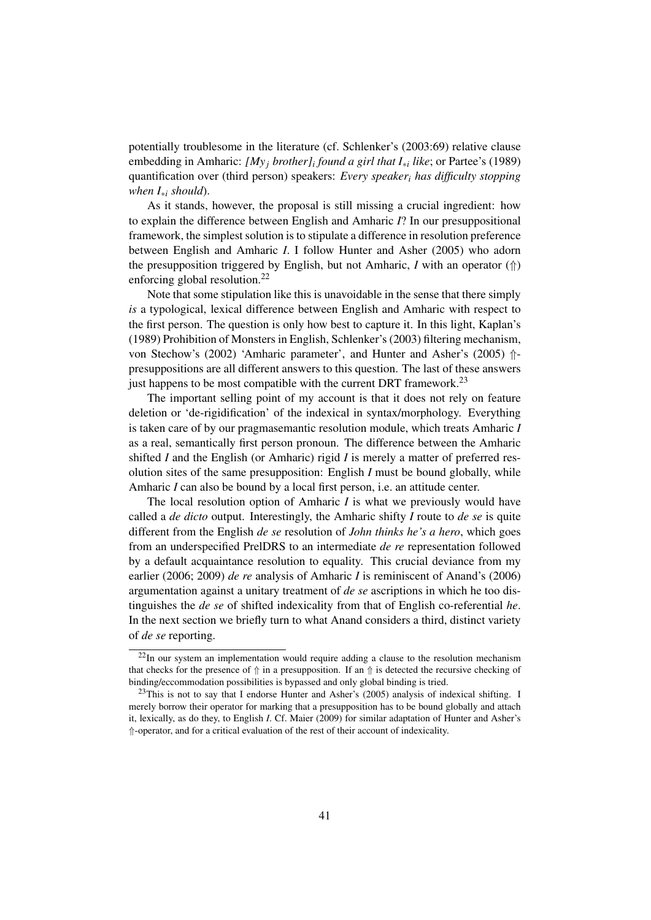potentially troublesome in the literature (cf. Schlenker's (2003:69) relative clause embedding in Amharic: *[My<sup>j</sup> brother]<sup>i</sup> found a girl that I*∗*<sup>i</sup> like*; or Partee's (1989) quantification over (third person) speakers: *Every speaker<sup>i</sup> has difficulty stopping when I*∗*<sup>i</sup> should*).

As it stands, however, the proposal is still missing a crucial ingredient: how to explain the difference between English and Amharic *I*? In our presuppositional framework, the simplest solution is to stipulate a difference in resolution preference between English and Amharic *I*. I follow Hunter and Asher (2005) who adorn the presupposition triggered by English, but not Amharic,  $I$  with an operator  $(\Uparrow)$ enforcing global resolution.<sup>22</sup>

Note that some stipulation like this is unavoidable in the sense that there simply *is* a typological, lexical difference between English and Amharic with respect to the first person. The question is only how best to capture it. In this light, Kaplan's (1989) Prohibition of Monsters in English, Schlenker's (2003) filtering mechanism, von Stechow's (2002) 'Amharic parameter', and Hunter and Asher's (2005)  $\Uparrow$ presuppositions are all different answers to this question. The last of these answers just happens to be most compatible with the current DRT framework.<sup>23</sup>

The important selling point of my account is that it does not rely on feature deletion or 'de-rigidification' of the indexical in syntax/morphology. Everything is taken care of by our pragmasemantic resolution module, which treats Amharic *I* as a real, semantically first person pronoun. The difference between the Amharic shifted *I* and the English (or Amharic) rigid *I* is merely a matter of preferred resolution sites of the same presupposition: English *I* must be bound globally, while Amharic *I* can also be bound by a local first person, i.e. an attitude center.

The local resolution option of Amharic *I* is what we previously would have called a *de dicto* output. Interestingly, the Amharic shifty *I* route to *de se* is quite different from the English *de se* resolution of *John thinks he's a hero*, which goes from an underspecified PrelDRS to an intermediate *de re* representation followed by a default acquaintance resolution to equality. This crucial deviance from my earlier (2006; 2009) *de re* analysis of Amharic *I* is reminiscent of Anand's (2006) argumentation against a unitary treatment of *de se* ascriptions in which he too distinguishes the *de se* of shifted indexicality from that of English co-referential *he*. In the next section we briefly turn to what Anand considers a third, distinct variety of *de se* reporting.

<sup>&</sup>lt;sup>22</sup>In our system an implementation would require adding a clause to the resolution mechanism that checks for the presence of  $\Uparrow$  in a presupposition. If an  $\Uparrow$  is detected the recursive checking of binding/eccommodation possibilities is bypassed and only global binding is tried.

 $^{23}$ This is not to say that I endorse Hunter and Asher's (2005) analysis of indexical shifting. I merely borrow their operator for marking that a presupposition has to be bound globally and attach it, lexically, as do they, to English *I*. Cf. Maier (2009) for similar adaptation of Hunter and Asher's ⇑-operator, and for a critical evaluation of the rest of their account of indexicality.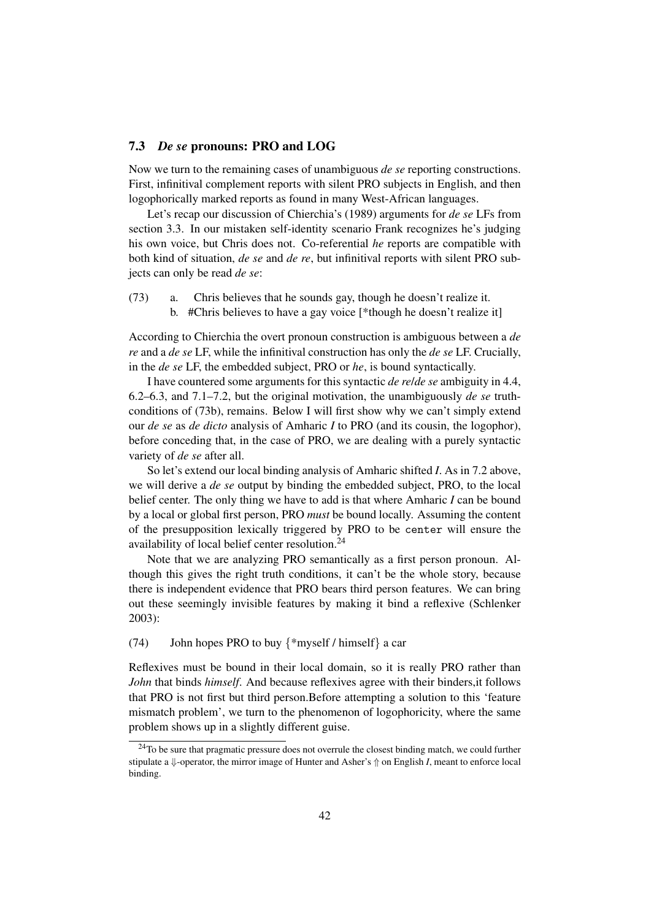#### 7.3 *De se* pronouns: PRO and LOG

Now we turn to the remaining cases of unambiguous *de se* reporting constructions. First, infinitival complement reports with silent PRO subjects in English, and then logophorically marked reports as found in many West-African languages.

Let's recap our discussion of Chierchia's (1989) arguments for *de se* LFs from section 3.3. In our mistaken self-identity scenario Frank recognizes he's judging his own voice, but Chris does not. Co-referential *he* reports are compatible with both kind of situation, *de se* and *de re*, but infinitival reports with silent PRO subjects can only be read *de se*:

- (73) a. Chris believes that he sounds gay, though he doesn't realize it.
	- b. #Chris believes to have a gay voice [\*though he doesn't realize it]

According to Chierchia the overt pronoun construction is ambiguous between a *de re* and a *de se* LF, while the infinitival construction has only the *de se* LF. Crucially, in the *de se* LF, the embedded subject, PRO or *he*, is bound syntactically.

I have countered some arguments for this syntactic *de re*/*de se* ambiguity in 4.4, 6.2–6.3, and 7.1–7.2, but the original motivation, the unambiguously *de se* truthconditions of (73b), remains. Below I will first show why we can't simply extend our *de se* as *de dicto* analysis of Amharic *I* to PRO (and its cousin, the logophor), before conceding that, in the case of PRO, we are dealing with a purely syntactic variety of *de se* after all.

So let's extend our local binding analysis of Amharic shifted *I*. As in 7.2 above, we will derive a *de se* output by binding the embedded subject, PRO, to the local belief center. The only thing we have to add is that where Amharic *I* can be bound by a local or global first person, PRO *must* be bound locally. Assuming the content of the presupposition lexically triggered by PRO to be center will ensure the availability of local belief center resolution.<sup>24</sup>

Note that we are analyzing PRO semantically as a first person pronoun. Although this gives the right truth conditions, it can't be the whole story, because there is independent evidence that PRO bears third person features. We can bring out these seemingly invisible features by making it bind a reflexive (Schlenker 2003):

(74) John hopes PRO to buy  $\{\text{*myself / himself}\}$  a car

Reflexives must be bound in their local domain, so it is really PRO rather than *John* that binds *himself*. And because reflexives agree with their binders,it follows that PRO is not first but third person.Before attempting a solution to this 'feature mismatch problem', we turn to the phenomenon of logophoricity, where the same problem shows up in a slightly different guise.

 $^{24}$ To be sure that pragmatic pressure does not overrule the closest binding match, we could further stipulate a ⇓-operator, the mirror image of Hunter and Asher's ⇑ on English *I*, meant to enforce local binding.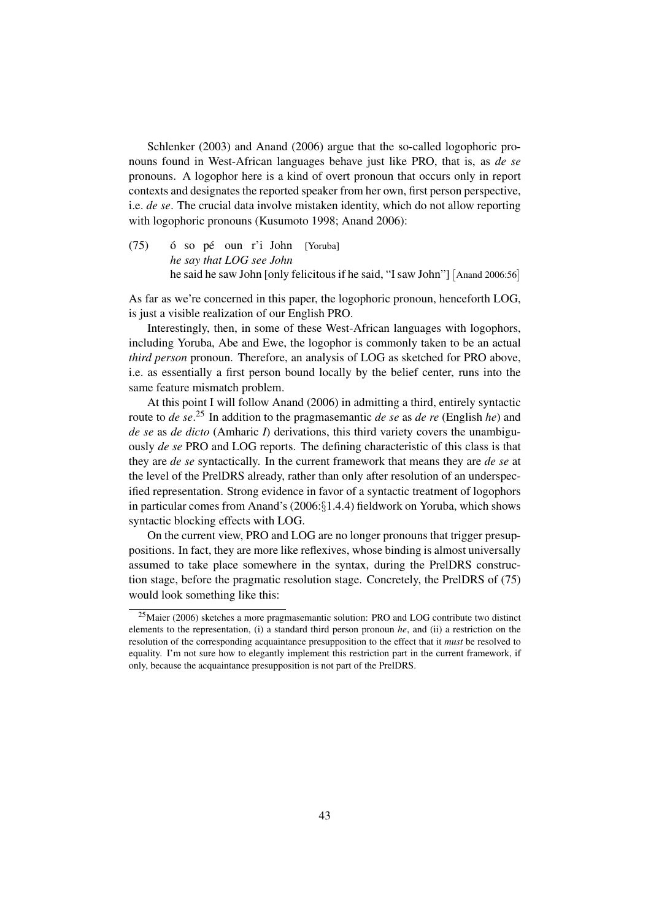Schlenker (2003) and Anand (2006) argue that the so-called logophoric pronouns found in West-African languages behave just like PRO, that is, as *de se* pronouns. A logophor here is a kind of overt pronoun that occurs only in report contexts and designates the reported speaker from her own, first person perspective, i.e. *de se*. The crucial data involve mistaken identity, which do not allow reporting with logophoric pronouns (Kusumoto 1998; Anand 2006):

 $(75)$ *he say that LOG see John* so pé oun r'i John [Yoruba] he said he saw John [only felicitous if he said, "I saw John"] [Anand 2006:56]

As far as we're concerned in this paper, the logophoric pronoun, henceforth LOG, is just a visible realization of our English PRO.

Interestingly, then, in some of these West-African languages with logophors, including Yoruba, Abe and Ewe, the logophor is commonly taken to be an actual *third person* pronoun. Therefore, an analysis of LOG as sketched for PRO above, i.e. as essentially a first person bound locally by the belief center, runs into the same feature mismatch problem.

At this point I will follow Anand (2006) in admitting a third, entirely syntactic route to *de se*. <sup>25</sup> In addition to the pragmasemantic *de se* as *de re* (English *he*) and *de se* as *de dicto* (Amharic *I*) derivations, this third variety covers the unambiguously *de se* PRO and LOG reports. The defining characteristic of this class is that they are *de se* syntactically. In the current framework that means they are *de se* at the level of the PrelDRS already, rather than only after resolution of an underspecified representation. Strong evidence in favor of a syntactic treatment of logophors in particular comes from Anand's (2006:§1.4.4) fieldwork on Yoruba, which shows syntactic blocking effects with LOG.

On the current view, PRO and LOG are no longer pronouns that trigger presuppositions. In fact, they are more like reflexives, whose binding is almost universally assumed to take place somewhere in the syntax, during the PrelDRS construction stage, before the pragmatic resolution stage. Concretely, the PrelDRS of (75) would look something like this:

<sup>25</sup>Maier (2006) sketches a more pragmasemantic solution: PRO and LOG contribute two distinct elements to the representation, (i) a standard third person pronoun *he*, and (ii) a restriction on the resolution of the corresponding acquaintance presupposition to the effect that it *must* be resolved to equality. I'm not sure how to elegantly implement this restriction part in the current framework, if only, because the acquaintance presupposition is not part of the PrelDRS.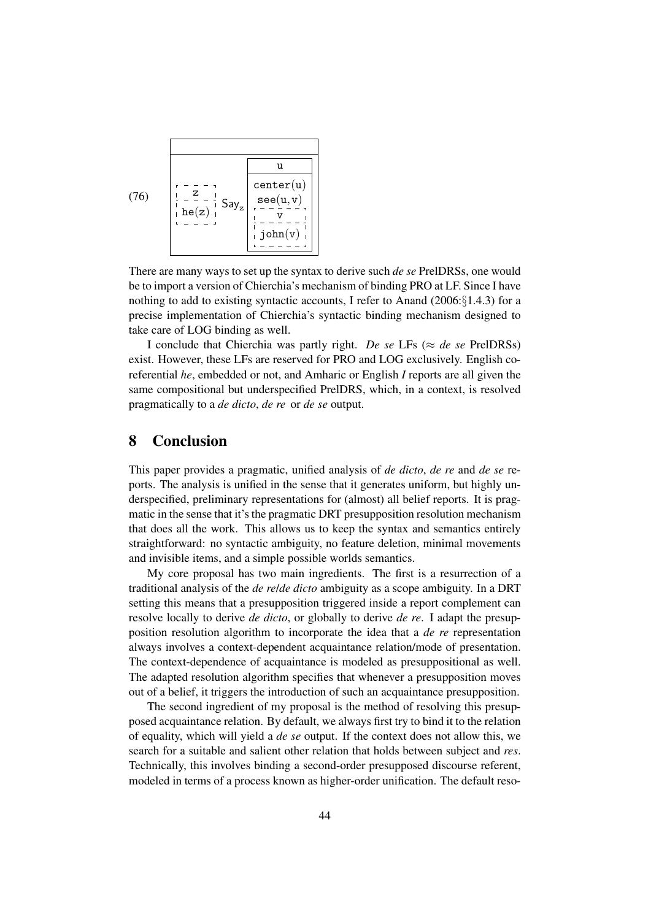

There are many ways to set up the syntax to derive such *de se* PrelDRSs, one would be to import a version of Chierchia's mechanism of binding PRO at LF. Since I have nothing to add to existing syntactic accounts, I refer to Anand ( $2006:\S1.4.3$ ) for a precise implementation of Chierchia's syntactic binding mechanism designed to take care of LOG binding as well.

I conclude that Chierchia was partly right. *De se* LFs ( $\approx$  *de se* PrelDRSs) exist. However, these LFs are reserved for PRO and LOG exclusively. English coreferential *he*, embedded or not, and Amharic or English *I* reports are all given the same compositional but underspecified PrelDRS, which, in a context, is resolved pragmatically to a *de dicto*, *de re* or *de se* output.

### 8 Conclusion

This paper provides a pragmatic, unified analysis of *de dicto*, *de re* and *de se* reports. The analysis is unified in the sense that it generates uniform, but highly underspecified, preliminary representations for (almost) all belief reports. It is pragmatic in the sense that it's the pragmatic DRT presupposition resolution mechanism that does all the work. This allows us to keep the syntax and semantics entirely straightforward: no syntactic ambiguity, no feature deletion, minimal movements and invisible items, and a simple possible worlds semantics.

My core proposal has two main ingredients. The first is a resurrection of a traditional analysis of the *de re*/*de dicto* ambiguity as a scope ambiguity. In a DRT setting this means that a presupposition triggered inside a report complement can resolve locally to derive *de dicto*, or globally to derive *de re*. I adapt the presupposition resolution algorithm to incorporate the idea that a *de re* representation always involves a context-dependent acquaintance relation/mode of presentation. The context-dependence of acquaintance is modeled as presuppositional as well. The adapted resolution algorithm specifies that whenever a presupposition moves out of a belief, it triggers the introduction of such an acquaintance presupposition.

The second ingredient of my proposal is the method of resolving this presupposed acquaintance relation. By default, we always first try to bind it to the relation of equality, which will yield a *de se* output. If the context does not allow this, we search for a suitable and salient other relation that holds between subject and *res*. Technically, this involves binding a second-order presupposed discourse referent, modeled in terms of a process known as higher-order unification. The default reso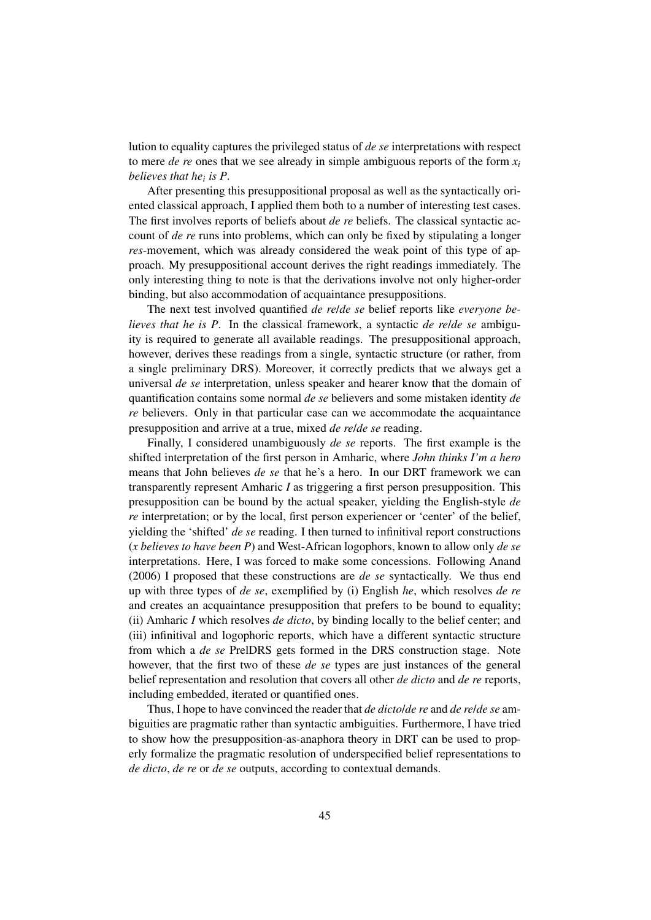lution to equality captures the privileged status of *de se* interpretations with respect to mere *de re* ones that we see already in simple ambiguous reports of the form *x<sup>i</sup> believes that he<sup>i</sup> is P*.

After presenting this presuppositional proposal as well as the syntactically oriented classical approach, I applied them both to a number of interesting test cases. The first involves reports of beliefs about *de re* beliefs. The classical syntactic account of *de re* runs into problems, which can only be fixed by stipulating a longer *res*-movement, which was already considered the weak point of this type of approach. My presuppositional account derives the right readings immediately. The only interesting thing to note is that the derivations involve not only higher-order binding, but also accommodation of acquaintance presuppositions.

The next test involved quantified *de re*/*de se* belief reports like *everyone believes that he is P*. In the classical framework, a syntactic *de re*/*de se* ambiguity is required to generate all available readings. The presuppositional approach, however, derives these readings from a single, syntactic structure (or rather, from a single preliminary DRS). Moreover, it correctly predicts that we always get a universal *de se* interpretation, unless speaker and hearer know that the domain of quantification contains some normal *de se* believers and some mistaken identity *de re* believers. Only in that particular case can we accommodate the acquaintance presupposition and arrive at a true, mixed *de re*/*de se* reading.

Finally, I considered unambiguously *de se* reports. The first example is the shifted interpretation of the first person in Amharic, where *John thinks I'm a hero* means that John believes *de se* that he's a hero. In our DRT framework we can transparently represent Amharic *I* as triggering a first person presupposition. This presupposition can be bound by the actual speaker, yielding the English-style *de re* interpretation; or by the local, first person experiencer or 'center' of the belief, yielding the 'shifted' *de se* reading. I then turned to infinitival report constructions (*x believes to have been P*) and West-African logophors, known to allow only *de se* interpretations. Here, I was forced to make some concessions. Following Anand (2006) I proposed that these constructions are *de se* syntactically. We thus end up with three types of *de se*, exemplified by (i) English *he*, which resolves *de re* and creates an acquaintance presupposition that prefers to be bound to equality; (ii) Amharic *I* which resolves *de dicto*, by binding locally to the belief center; and (iii) infinitival and logophoric reports, which have a different syntactic structure from which a *de se* PrelDRS gets formed in the DRS construction stage. Note however, that the first two of these *de se* types are just instances of the general belief representation and resolution that covers all other *de dicto* and *de re* reports, including embedded, iterated or quantified ones.

Thus, I hope to have convinced the reader that *de dicto*/*de re* and *de re*/*de se* ambiguities are pragmatic rather than syntactic ambiguities. Furthermore, I have tried to show how the presupposition-as-anaphora theory in DRT can be used to properly formalize the pragmatic resolution of underspecified belief representations to *de dicto*, *de re* or *de se* outputs, according to contextual demands.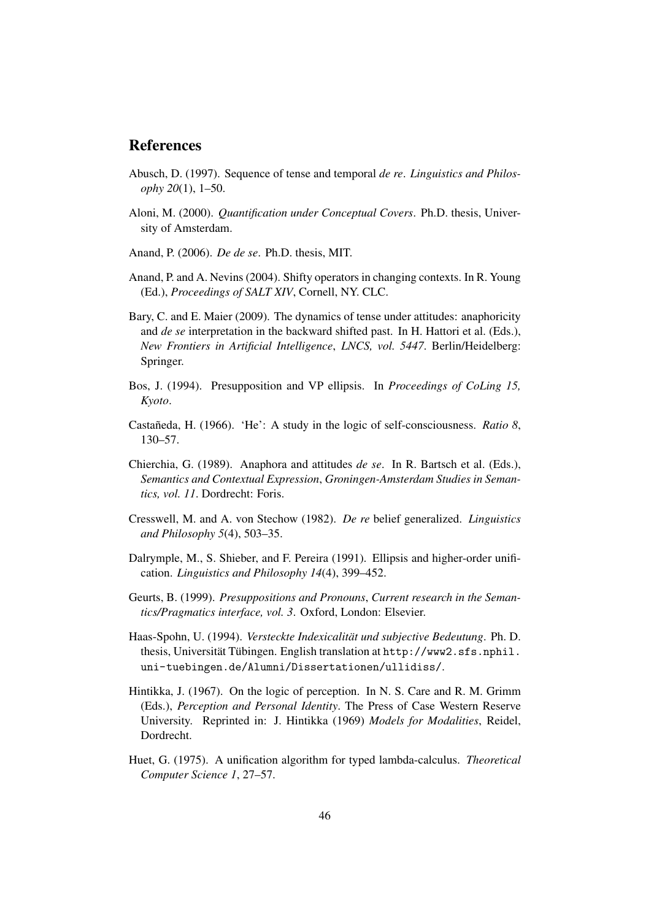# References

- Abusch, D. (1997). Sequence of tense and temporal *de re*. *Linguistics and Philosophy 20*(1), 1–50.
- Aloni, M. (2000). *Quantification under Conceptual Covers*. Ph.D. thesis, University of Amsterdam.
- Anand, P. (2006). *De de se*. Ph.D. thesis, MIT.
- Anand, P. and A. Nevins (2004). Shifty operators in changing contexts. In R. Young (Ed.), *Proceedings of SALT XIV*, Cornell, NY. CLC.
- Bary, C. and E. Maier (2009). The dynamics of tense under attitudes: anaphoricity and *de se* interpretation in the backward shifted past. In H. Hattori et al. (Eds.), *New Frontiers in Artificial Intelligence*, *LNCS, vol. 5447*. Berlin/Heidelberg: Springer.
- Bos, J. (1994). Presupposition and VP ellipsis. In *Proceedings of CoLing 15, Kyoto*.
- Castañeda, H. (1966). 'He': A study in the logic of self-consciousness. *Ratio 8*, 130–57.
- Chierchia, G. (1989). Anaphora and attitudes *de se*. In R. Bartsch et al. (Eds.), *Semantics and Contextual Expression*, *Groningen-Amsterdam Studies in Semantics, vol. 11*. Dordrecht: Foris.
- Cresswell, M. and A. von Stechow (1982). *De re* belief generalized. *Linguistics and Philosophy 5*(4), 503–35.
- Dalrymple, M., S. Shieber, and F. Pereira (1991). Ellipsis and higher-order unification. *Linguistics and Philosophy 14*(4), 399–452.
- Geurts, B. (1999). *Presuppositions and Pronouns*, *Current research in the Semantics/Pragmatics interface, vol. 3*. Oxford, London: Elsevier.
- Haas-Spohn, U. (1994). *Versteckte Indexicalität und subjective Bedeutung*. Ph. D. thesis, Universität Tübingen. English translation at http://www2.sfs.nphil. uni-tuebingen.de/Alumni/Dissertationen/ullidiss/.
- Hintikka, J. (1967). On the logic of perception. In N. S. Care and R. M. Grimm (Eds.), *Perception and Personal Identity*. The Press of Case Western Reserve University. Reprinted in: J. Hintikka (1969) *Models for Modalities*, Reidel, Dordrecht.
- Huet, G. (1975). A unification algorithm for typed lambda-calculus. *Theoretical Computer Science 1*, 27–57.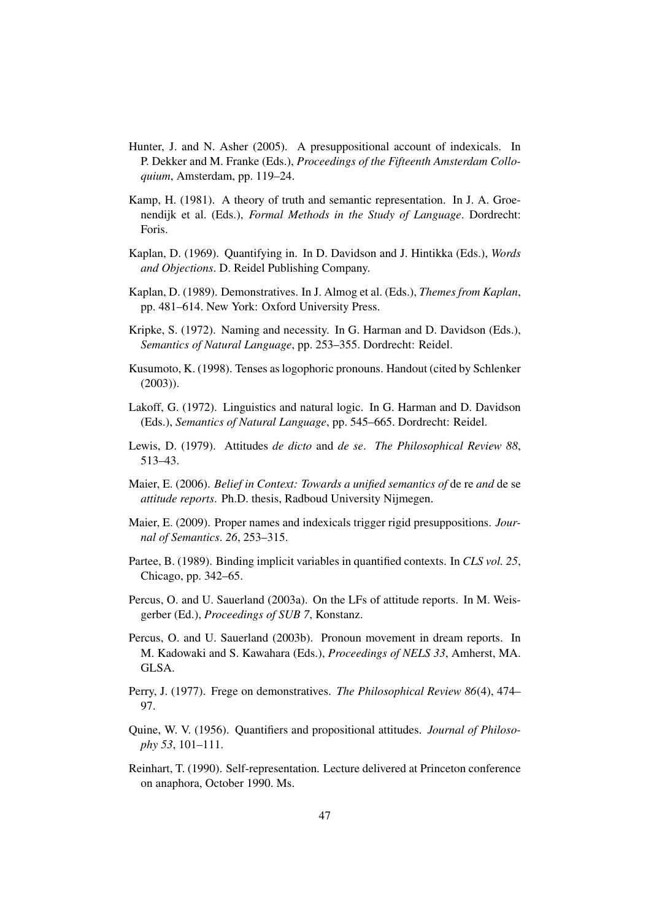- Hunter, J. and N. Asher (2005). A presuppositional account of indexicals. In P. Dekker and M. Franke (Eds.), *Proceedings of the Fifteenth Amsterdam Colloquium*, Amsterdam, pp. 119–24.
- Kamp, H. (1981). A theory of truth and semantic representation. In J. A. Groenendijk et al. (Eds.), *Formal Methods in the Study of Language*. Dordrecht: Foris.
- Kaplan, D. (1969). Quantifying in. In D. Davidson and J. Hintikka (Eds.), *Words and Objections*. D. Reidel Publishing Company.
- Kaplan, D. (1989). Demonstratives. In J. Almog et al. (Eds.), *Themes from Kaplan*, pp. 481–614. New York: Oxford University Press.
- Kripke, S. (1972). Naming and necessity. In G. Harman and D. Davidson (Eds.), *Semantics of Natural Language*, pp. 253–355. Dordrecht: Reidel.
- Kusumoto, K. (1998). Tenses as logophoric pronouns. Handout (cited by Schlenker (2003)).
- Lakoff, G. (1972). Linguistics and natural logic. In G. Harman and D. Davidson (Eds.), *Semantics of Natural Language*, pp. 545–665. Dordrecht: Reidel.
- Lewis, D. (1979). Attitudes *de dicto* and *de se*. *The Philosophical Review 88*, 513–43.
- Maier, E. (2006). *Belief in Context: Towards a unified semantics of* de re *and* de se *attitude reports*. Ph.D. thesis, Radboud University Nijmegen.
- Maier, E. (2009). Proper names and indexicals trigger rigid presuppositions. *Journal of Semantics*. *26*, 253–315.
- Partee, B. (1989). Binding implicit variables in quantified contexts. In *CLS vol. 25*, Chicago, pp. 342–65.
- Percus, O. and U. Sauerland (2003a). On the LFs of attitude reports. In M. Weisgerber (Ed.), *Proceedings of SUB 7*, Konstanz.
- Percus, O. and U. Sauerland (2003b). Pronoun movement in dream reports. In M. Kadowaki and S. Kawahara (Eds.), *Proceedings of NELS 33*, Amherst, MA. GLSA.
- Perry, J. (1977). Frege on demonstratives. *The Philosophical Review 86*(4), 474– 97.
- Quine, W. V. (1956). Quantifiers and propositional attitudes. *Journal of Philosophy 53*, 101–111.
- Reinhart, T. (1990). Self-representation. Lecture delivered at Princeton conference on anaphora, October 1990. Ms.